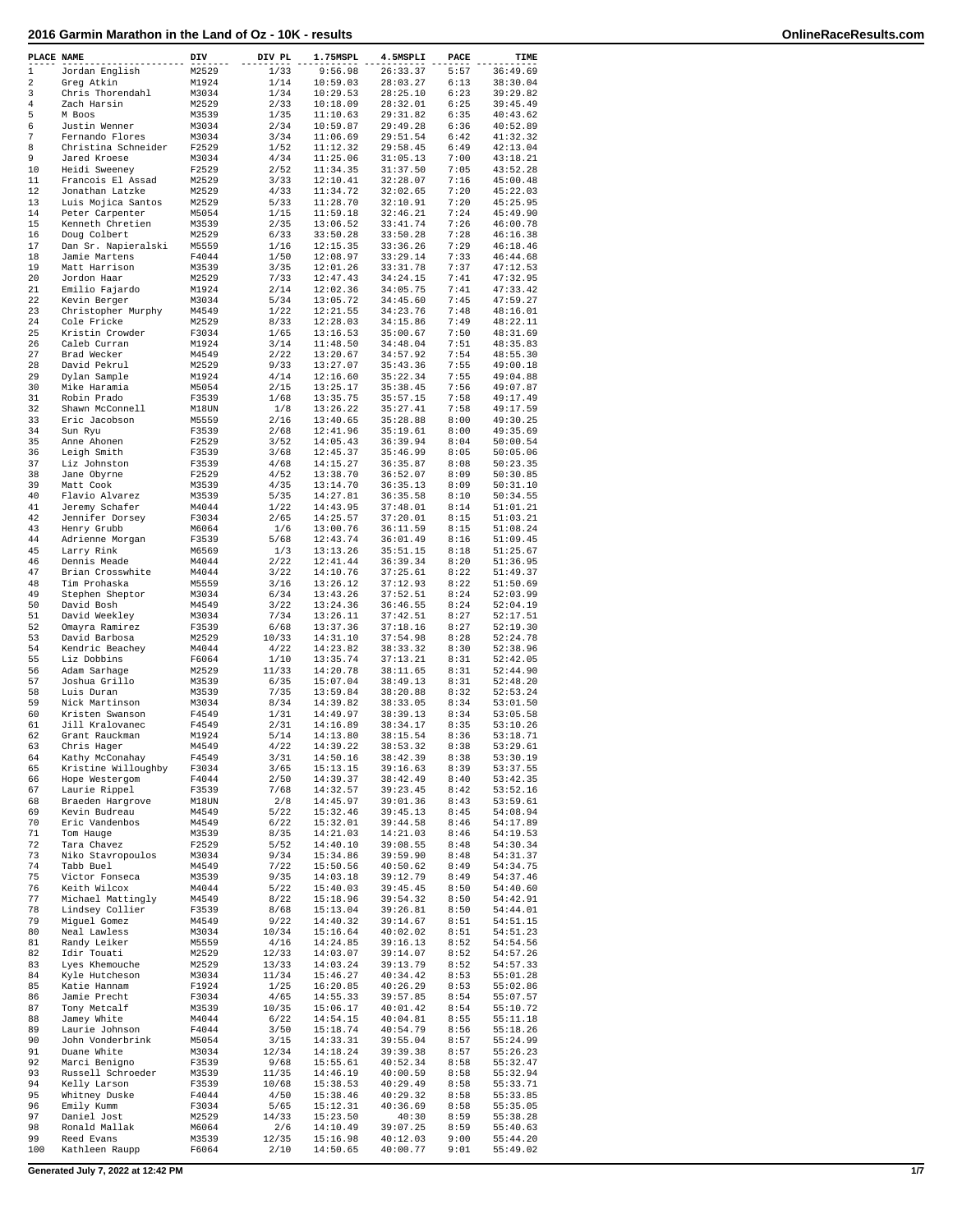| PLACE NAME       |                                  | DIV            | DIV PL       | 1.75MSPL             | 4.5MSPLI             | PACE         | TIME                 |
|------------------|----------------------------------|----------------|--------------|----------------------|----------------------|--------------|----------------------|
| 1                | Jordan English                   | M2529          | 1/33         | 9:56.98              | 26:33.37             | 5:57         | 36:49.69             |
| 2                | Greg Atkin                       | M1924          | 1/14         | 10:59.03             | 28:03.27             | 6:13         | 38:30.04             |
| 3                | Chris Thorendahl                 | M3034          | 1/34         | 10:29.53             | 28:25.10             | 6:23         | 39:29.82             |
| 4                | Zach Harsin                      | M2529          | 2/33         | 10:18.09             | 28:32.01             | 6:25         | 39:45.49             |
| 5                | M Boos                           | M3539          | 1/35         | 11:10.63             | 29:31.82             | 6:35         | 40:43.62             |
| 6                | Justin Wenner                    | M3034          | 2/34         | 10:59.87             | 29:49.28             | 6:36         | 40:52.89             |
| $\boldsymbol{7}$ | Fernando Flores                  | M3034          | 3/34         | 11:06.69             | 29:51.54             | 6:42         | 41:32.32             |
| 8                | Christina Schneider              | F2529          | 1/52         | 11:12.32             | 29:58.45             | 6:49         | 42:13.04             |
| 9                | Jared Kroese                     | M3034          | 4/34         | 11:25.06             | 31:05.13             | 7:00         | 43:18.21             |
| 10               | Heidi Sweeney                    | F2529          | 2/52         | 11:34.35             | 31:37.50             | 7:05         | 43:52.28             |
| 11               | Francois El Assad                | M2529          | 3/33         | 12:10.41             | 32:28.07             | 7:16         | 45:00.48             |
| 12               | Jonathan Latzke                  | M2529          | 4/33         | 11:34.72             | 32:02.65             | 7:20         | 45:22.03             |
| 13               | Luis Mojica Santos               | M2529          | 5/33         | 11:28.70             | 32:10.91             | 7:20         | 45:25.95             |
| 14               | Peter Carpenter                  | M5054          | 1/15         | 11:59.18             | 32:46.21             | 7:24         | 45:49.90             |
| 15               | Kenneth Chretien                 | M3539          | 2/35         | 13:06.52             | 33:41.74             | 7:26         | 46:00.78             |
| 16               | Doug Colbert                     | M2529          | 6/33         | 33:50.28             | 33:50.28             | 7:28         | 46:16.38             |
| 17               | Dan Sr. Napieralski              | M5559          | 1/16         | 12:15.35             | 33:36.26             | 7:29         | 46:18.46             |
| 18               | Jamie Martens                    | F4044          | 1/50         | 12:08.97             | 33:29.14             | 7:33         | 46:44.68             |
| 19               | Matt Harrison                    | M3539          | 3/35         | 12:01.26             | 33:31.78             | 7:37         | 47:12.53             |
| 20               | Jordon Haar                      | M2529          | 7/33         | 12:47.43             | 34:24.15             | 7:41         | 47:32.95             |
| 21               | Emilio Fajardo                   | M1924          | 2/14         | 12:02.36             | 34:05.75             | 7:41         | 47:33.42             |
| 22               | Kevin Berger                     | M3034          | 5/34         | 13:05.72             | 34:45.60             | 7:45         | 47:59.27             |
| 23               | Christopher Murphy               | M4549          | 1/22         | 12:21.55             | 34:23.76             | 7:48         | 48:16.01             |
| 24               | Cole Fricke                      | M2529          | 8/33         |                      |                      | 7:49         | 48:22.11             |
| 25               |                                  |                |              | 12:28.03             | 34:15.86             | 7:50         |                      |
|                  | Kristin Crowder                  | F3034          | 1/65         | 13:16.53             | 35:00.67             |              | 48:31.69             |
| 26<br>27         | Caleb Curran<br>Brad Wecker      | M1924<br>M4549 | 3/14<br>2/22 | 11:48.50<br>13:20.67 | 34:48.04<br>34:57.92 | 7:51<br>7:54 | 48:35.83<br>48:55.30 |
| 28               | David Pekrul                     | M2529          | 9/33         | 13:27.07             |                      | 7:55         | 49:00.18             |
| 29               |                                  | M1924          | 4/14         |                      | 35:43.36             | 7:55         | 49:04.88             |
|                  | Dylan Sample                     |                |              | 12:16.60             | 35:22.34             | 7:56         |                      |
| 30               | Mike Haramia                     | M5054          | 2/15         | 13:25.17             | 35:38.45             | 7:58         | 49:07.87             |
| 31               | Robin Prado                      | F3539          | 1/68         | 13:35.75             | 35:57.15             |              | 49:17.49             |
| 32               | Shawn McConnell                  | M18UN          | 1/8          | 13:26.22             | 35:27.41<br>35:28.88 | 7:58         | 49:17.59             |
| 33               | Eric Jacobson                    | M5559          | 2/16         | 13:40.65             |                      | 8:00         | 49:30.25             |
| 34               | Sun Ryu                          | F3539          | 2/68         | 12:41.96             | 35:19.61             | 8:00         | 49:35.69             |
| 35               | Anne Ahonen                      | F2529          | 3/52         | 14:05.43             | 36:39.94             | 8:04         | 50:00.54             |
| 36               | Leigh Smith                      | F3539          | 3/68         | 12:45.37             | 35:46.99             | 8:05         | 50:05.06             |
| 37               | Liz Johnston                     | F3539          | 4/68         | 14:15.27             | 36:35.87             | 8:08         | 50:23.35             |
| 38               | Jane Obyrne                      | F2529          | 4/52         | 13:38.70             | 36:52.07<br>36:35.13 | 8:09         | 50:30.85             |
| 39               | Matt Cook                        | M3539          | 4/35         | 13:14.70             |                      | 8:09         | 50:31.10             |
| 40               | Flavio Alvarez                   | M3539          | 5/35         | 14:27.81             | 36:35.58             | 8:10         | 50:34.55             |
| 41<br>42         | Jeremy Schafer                   | M4044<br>F3034 | 1/22<br>2/65 | 14:43.95             | 37:48.01             | 8:14<br>8:15 | 51:01.21<br>51:03.21 |
| 43               | Jennifer Dorsey                  |                |              | 14:25.57             | 37:20.01             |              | 51:08.24             |
| 44               | Henry Grubb                      | M6064<br>F3539 | 1/6          | 13:00.76<br>12:43.74 | 36:11.59<br>36:01.49 | 8:15<br>8:16 | 51:09.45             |
| 45               | Adrienne Morgan                  | M6569          | 5/68<br>1/3  | 13:13.26             | 35:51.15             | 8:18         | 51:25.67             |
| 46               | Larry Rink                       | M4044          | 2/22         | 12:41.44             | 36:39.34             | 8:20         | 51:36.95             |
| 47               | Dennis Meade<br>Brian Crosswhite | M4044          | 3/22         | 14:10.76             | 37:25.61             | 8:22         | 51:49.37             |
| 48               | Tim Prohaska                     | M5559          | 3/16         | 13:26.12             | 37:12.93             | 8:22         | 51:50.69             |
| 49               | Stephen Sheptor                  | M3034          | 6/34         | 13:43.26             | 37:52.51             | 8:24         | 52:03.99             |
| 50               | David Bosh                       | M4549          | 3/22         | 13:24.36             | 36:46.55             | 8:24         | 52:04.19             |
| 51               | David Weekley                    | M3034          | 7/34         | 13:26.11             | 37:42.51             | 8:27         | 52:17.51             |
| 52               | Omayra Ramirez                   | F3539          | 6/68         | 13:37.36             | 37:18.16             | 8:27         | 52:19.30             |
| 53               | David Barbosa                    | M2529          | 10/33        | 14:31.10             | 37:54.98             | 8:28         | 52:24.78             |
| 54               | Kendric Beachey                  | M4044          | 4/22         | 14:23.82             | 38:33.32             | 8:30         | 52:38.96             |
| 55               | Liz Dobbins                      | F6064          | 1/10         | 13:35.74             | 37:13.21             | 8:31         | 52:42.05             |
| 56               | Adam Sarhage                     | M2529          | 11/33        | 14:20.78             | 38:11.65             | 8:31         | 52:44.90             |
| 57               | Joshua Grillo                    | M3539          | 6/35         | 15:07.04             | 38:49.13             | 8:31         | 52:48.20             |
| 58               | Luis Duran                       | M3539          | 7/35         | 13:59.84             | 38:20.88             | 8:32         | 52:53.24             |
| 59               | Nick Martinson                   | M3034          | 8/34         | 14:39.82             | 38:33.05             | 8:34         | 53:01.50             |
| 60               | Kristen Swanson                  | F4549          | 1/31         | 14:49.97             | 38:39.13             | 8:34         | 53:05.58             |
| 61               | Jill Kralovanec                  | F4549          | 2/31         | 14:16.89             | 38:34.17             | 8:35         | 53:10.26             |
| 62               | Grant Rauckman                   | M1924          | 5/14         | 14:13.80             | 38:15.54             | 8:36         | 53:18.71             |
| 63               | Chris Hager                      | M4549          | 4/22         | 14:39.22             | 38:53.32             | 8:38         | 53:29.61             |
| 64               | Kathy McConahay                  | F4549          | 3/31         | 14:50.16             | 38:42.39             | 8:38         | 53:30.19             |
| 65               | Kristine Willoughby              | F3034          | 3/65         | 15:13.15             | 39:16.63             | 8:39         | 53:37.55             |
| 66               | Hope Westergom                   | F4044          | 2/50         | 14:39.37             | 38:42.49             | 8:40         | 53:42.35             |
| 67               | Laurie Rippel                    | F3539          | 7/68         | 14:32.57             | 39:23.45             | 8:42         | 53:52.16             |
| 68               | Braeden Hargrove                 | M18UN          | 2/8          | 14:45.97             | 39:01.36             | 8:43         | 53:59.61             |
| 69               | Kevin Budreau                    | M4549          | 5/22         | 15:32.46             | 39:45.13             | 8:45         | 54:08.94             |
| 70               | Eric Vandenbos                   | M4549          | 6/22         | 15:32.01             | 39:44.58             | 8:46         | 54:17.89             |
| 71               | Tom Hauge                        | M3539          | 8/35         | 14:21.03             | 14:21.03             | 8:46         | 54:19.53             |
| 72               | Tara Chavez                      | F2529          | 5/52         | 14:40.10             | 39:08.55             | 8:48         | 54:30.34             |
| 73               | Niko Stavropoulos                | M3034          | 9/34         | 15:34.86             | 39:59.90             | 8:48         | 54:31.37             |
| 74               | Tabb Buel                        | M4549          | 7/22         | 15:50.56             | 40:50.62             | 8:49         | 54:34.75             |
| 75               | Victor Fonseca                   | M3539          | 9/35         | 14:03.18             | 39:12.79             | 8:49         | 54:37.46             |
| 76               | Keith Wilcox                     | M4044          | 5/22         | 15:40.03             | 39:45.45             | 8:50         | 54:40.60             |
| 77               | Michael Mattingly                | M4549          | 8/22         | 15:18.96             | 39:54.32             | 8:50         | 54:42.91             |
| 78               | Lindsey Collier                  | F3539          | 8/68         | 15:13.04             | 39:26.81             | 8:50         | 54:44.01             |
| 79               | Miguel Gomez                     | M4549          | 9/22         | 14:40.32             | 39:14.67             | 8:51         | 54:51.15             |
| 80               | Neal Lawless                     | M3034          | 10/34        | 15:16.64             | 40:02.02             | 8:51         | 54:51.23             |
| 81               | Randy Leiker                     | M5559          | 4/16         | 14:24.85             | 39:16.13             | 8:52         | 54:54.56             |
| 82               | Idir Touati                      | M2529          | 12/33        | 14:03.07             | 39:14.07             | 8:52         | 54:57.26             |
| 83               | Lyes Khemouche                   | M2529          | 13/33        | 14:03.24             | 39:13.79             | 8:52         | 54:57.33             |
| 84               | Kyle Hutcheson                   | M3034          | 11/34        | 15:46.27             | 40:34.42             | 8:53         | 55:01.28             |
| 85               | Katie Hannam                     | F1924          | 1/25         | 16:20.85             | 40:26.29             | 8:53         | 55:02.86             |
| 86               | Jamie Precht                     | F3034          | 4/65         | 14:55.33             | 39:57.85             | 8:54         | 55:07.57             |
| 87               | Tony Metcalf                     | M3539          | 10/35        | 15:06.17             | 40:01.42             | 8:54         | 55:10.72             |
| 88               | Jamey White                      | M4044          | 6/22         | 14:54.15             | 40:04.81             | 8:55         | 55:11.18             |
| 89               | Laurie Johnson                   | F4044          | 3/50         | 15:18.74             | 40:54.79             | 8:56         | 55:18.26             |
| 90               | John Vonderbrink                 | M5054          | 3/15         | 14:33.31             | 39:55.04             | 8:57         | 55:24.99             |
| 91               | Duane White                      | M3034          | 12/34        | 14:18.24             | 39:39.38             | 8:57         | 55:26.23             |
| 92               | Marci Benigno                    | F3539          | 9/68         | 15:55.61             | 40:52.34             | 8:58         | 55:32.47             |
| 93               | Russell Schroeder                | M3539          | 11/35        | 14:46.19             | 40:00.59             | 8:58         | 55:32.94             |
| 94               | Kelly Larson                     | F3539          | 10/68        | 15:38.53             | 40:29.49             | 8:58         | 55:33.71             |
| 95               | Whitney Duske                    | F4044          | 4/50         | 15:38.46             | 40:29.32             | 8:58         | 55:33.85             |
| 96               | Emily Kumm                       | F3034          | 5/65         | 15:12.31             | 40:36.69             | 8:58         | 55:35.05             |
| 97               | Daniel Jost                      | M2529          | 14/33        | 15:23.50             | 40:30                | 8:59         | 55:38.28             |
| 98               | Ronald Mallak                    | M6064          | 2/6          | 14:10.49             | 39:07.25             | 8:59         | 55:40.63             |
| 99               | Reed Evans                       | M3539          | 12/35        | 15:16.98             | 40:12.03             | 9:00         | 55:44.20             |
| 100              | Kathleen Raupp                   | F6064          | 2/10         | 14:50.65             | 40:00.77             | 9:01         | 55:49.02             |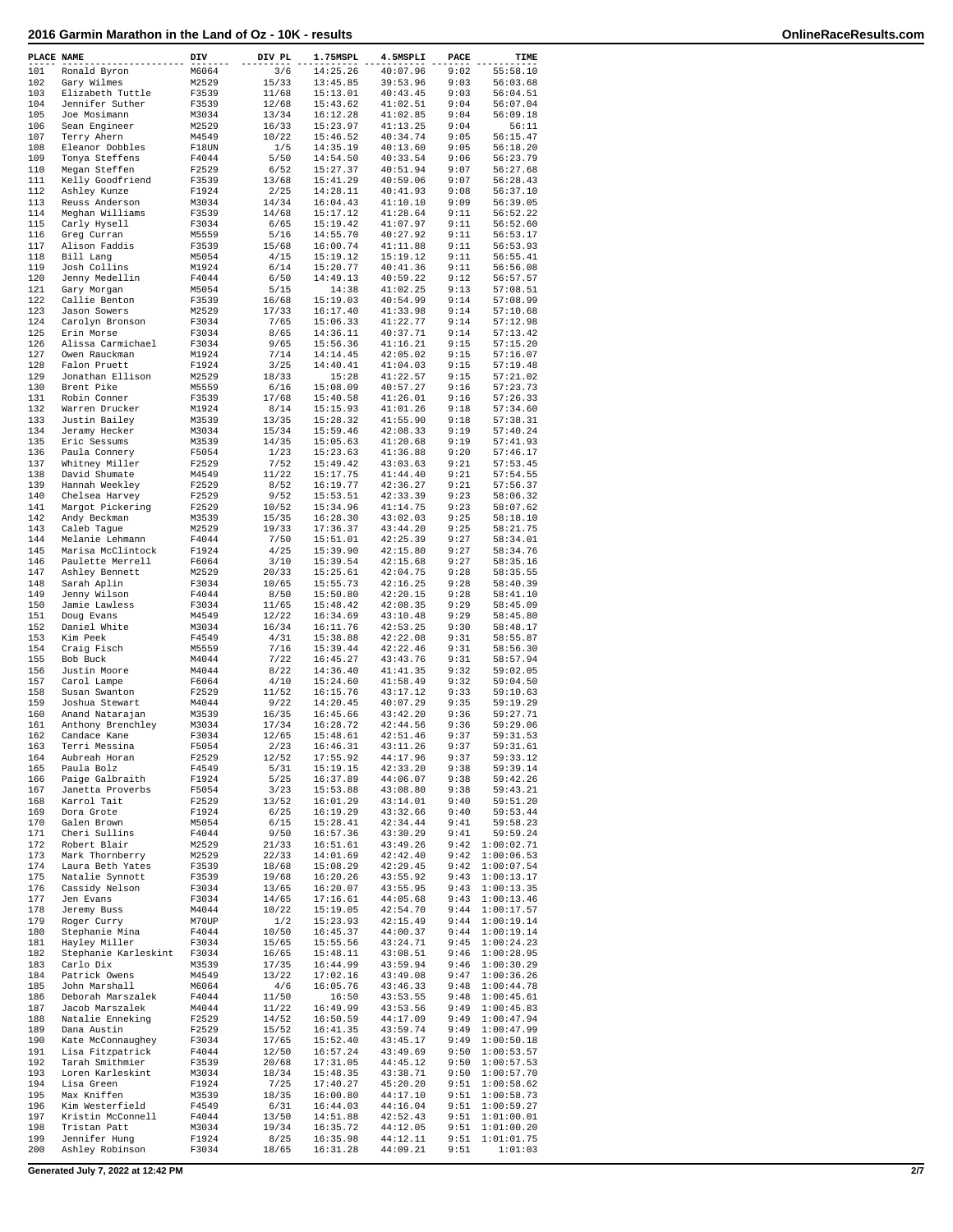|            | PLACE NAME                          | DIV            | DIV PL         | 1.75MSPL             | 4.5MSPLI             | PACE         | TIME                     |
|------------|-------------------------------------|----------------|----------------|----------------------|----------------------|--------------|--------------------------|
| 101        | Ronald Byron                        | M6064          | 3/6            | 14:25.26             | 40:07.96             | 9:02         | 55:58.10                 |
| 102        | Gary Wilmes                         | M2529          | 15/33          | 13:45.85             | 39:53.96             | 9:03         | 56:03.68                 |
| 103        | Elizabeth Tuttle                    | F3539          | 11/68          | 15:13.01             | 40:43.45             | 9:03         | 56:04.51                 |
| 104        | Jennifer Suther                     | F3539          | 12/68          | 15:43.62             | 41:02.51             | 9:04         | 56:07.04                 |
| 105        | Joe Mosimann                        | M3034          | 13/34          | 16:12.28             | 41:02.85             | 9:04         | 56:09.18                 |
| 106        | Sean Engineer                       | M2529          | 16/33          | 15:23.97             | 41:13.25             | 9:04         | 56:11                    |
| 107        | Terry Ahern                         | M4549          | 10/22          | 15:46.52             | 40:34.74             | 9:05         | 56:15.47                 |
| 108<br>109 | Eleanor Dobbles<br>Tonya Steffens   | F18UN          | 1/5<br>5/50    | 14:35.19<br>14:54.50 | 40:13.60<br>40:33.54 | 9:05<br>9:06 | 56:18.20<br>56:23.79     |
| 110        | Megan Steffen                       | F4044<br>F2529 | 6/52           | 15:27.37             | 40:51.94             | 9:07         | 56:27.68                 |
| 111        | Kelly Goodfriend                    | F3539          | 13/68          | 15:41.29             | 40:59.06             | 9:07         | 56:28.43                 |
| 112        | Ashley Kunze                        | F1924          | 2/25           | 14:28.11             | 40:41.93             | 9:08         | 56:37.10                 |
| 113        | Reuss Anderson                      | M3034          | 14/34          | 16:04.43             | 41:10.10             | 9:09         | 56:39.05                 |
| 114        | Meghan Williams                     | F3539          | 14/68          | 15:17.12             | 41:28.64             | 9:11         | 56:52.22                 |
| 115        | Carly Hysell                        | F3034          | 6/65           | 15:19.42             | 41:07.97             | 9:11         | 56:52.60                 |
| 116<br>117 | Greg Curran<br>Alison Faddis        | M5559<br>F3539 | 5/16<br>15/68  | 14:55.70<br>16:00.74 | 40:27.92<br>41:11.88 | 9:11<br>9:11 | 56:53.17<br>56:53.93     |
| 118        | Bill Lang                           | M5054          | 4/15           | 15:19.12             | 15:19.12             | 9:11         | 56:55.41                 |
| 119        | Josh Collins                        | M1924          | 6/14           | 15:20.77             | 40:41.36             | 9:11         | 56:56.08                 |
| 120        | Jenny Medellin                      | F4044          | 6/50           | 14:49.13             | 40:59.22             | 9:12         | 56:57.57                 |
| 121        | Gary Morgan                         | M5054          | 5/15           | 14:38                | 41:02.25             | 9:13         | 57:08.51                 |
| 122        | Callie Benton                       | F3539          | 16/68          | 15:19.03             | 40:54.99             | 9:14         | 57:08.99                 |
| 123        | Jason Sowers                        | M2529          | 17/33          | 16:17.40             | 41:33.98             | 9:14         | 57:10.68                 |
| 124<br>125 | Carolyn Bronson                     | F3034<br>F3034 | 7/65           | 15:06.33             | 41:22.77             | 9:14<br>9:14 | 57:12.98                 |
| 126        | Erin Morse<br>Alissa Carmichael     | F3034          | 8/65<br>9/65   | 14:36.11<br>15:56.36 | 40:37.71<br>41:16.21 | 9:15         | 57:13.42<br>57:15.20     |
| 127        | Owen Rauckman                       | M1924          | 7/14           | 14:14.45             | 42:05.02             | 9:15         | 57:16.07                 |
| 128        | Falon Pruett                        | F1924          | 3/25           | 14:40.41             | 41:04.03             | 9:15         | 57:19.48                 |
| 129        | Jonathan Ellison                    | M2529          | 18/33          | 15:28                | 41:22.57             | 9:15         | 57:21.02                 |
| 130        | Brent Pike                          | M5559          | 6/16           | 15:08.09             | 40:57.27             | 9:16         | 57:23.73                 |
| 131        | Robin Conner                        | F3539          | 17/68          | 15:40.58             | 41:26.01             | 9:16         | 57:26.33                 |
| 132<br>133 | Warren Drucker<br>Justin Bailey     | M1924          | 8/14<br>13/35  | 15:15.93<br>15:28.32 | 41:01.26<br>41:55.90 | 9:18<br>9:18 | 57:34.60<br>57:38.31     |
| 134        | Jeramy Hecker                       | M3539<br>M3034 | 15/34          | 15:59.46             | 42:08.33             | 9:19         | 57:40.24                 |
| 135        | Eric Sessums                        | M3539          | 14/35          | 15:05.63             | 41:20.68             | 9:19         | 57:41.93                 |
| 136        | Paula Connery                       | F5054          | 1/23           | 15:23.63             | 41:36.88             | 9:20         | 57:46.17                 |
| 137        | Whitney Miller                      | F2529          | 7/52           | 15:49.42             | 43:03.63             | 9:21         | 57:53.45                 |
| 138        | David Shumate                       | M4549          | 11/22          | 15:17.75             | 41:44.40             | 9:21         | 57:54.55                 |
| 139        | Hannah Weekley                      | F2529          | 8/52           | 16:19.77             | 42:36.27             | 9:21         | 57:56.37                 |
| 140        | Chelsea Harvey                      | F2529          | 9/52           | 15:53.51             | 42:33.39             | 9:23         | 58:06.32                 |
| 141<br>142 | Margot Pickering<br>Andy Beckman    | F2529<br>M3539 | 10/52<br>15/35 | 15:34.96<br>16:28.30 | 41:14.75<br>43:02.03 | 9:23<br>9:25 | 58:07.62<br>58:18.10     |
| 143        | Caleb Tague                         | M2529          | 19/33          | 17:36.37             | 43:44.20             | 9:25         | 58:21.75                 |
| 144        | Melanie Lehmann                     | F4044          | 7/50           | 15:51.01             | 42:25.39             | 9:27         | 58:34.01                 |
| 145        | Marisa McClintock                   | F1924          | 4/25           | 15:39.90             | 42:15.80             | 9:27         | 58:34.76                 |
| 146        | Paulette Merrell                    | F6064          | 3/10           | 15:39.54             | 42:15.68             | 9:27         | 58:35.16                 |
| 147        | Ashley Bennett                      | M2529          | 20/33          | 15:25.61             | 42:04.75             | 9:28         | 58:35.55                 |
| 148        | Sarah Aplin                         | F3034          | 10/65          | 15:55.73             | 42:16.25             | 9:28         | 58:40.39                 |
| 149<br>150 | Jenny Wilson<br>Jamie Lawless       | F4044<br>F3034 | 8/50<br>11/65  | 15:50.80<br>15:48.42 | 42:20.15<br>42:08.35 | 9:28<br>9:29 | 58:41.10<br>58:45.09     |
| 151        | Doug Evans                          | M4549          | 12/22          | 16:34.69             | 43:10.48             | 9:29         | 58:45.80                 |
| 152        | Daniel White                        | M3034          | 16/34          | 16:11.76             | 42:53.25             | 9:30         | 58:48.17                 |
| 153        | Kim Peek                            | F4549          | 4/31           | 15:38.88             | 42:22.08             | 9:31         | 58:55.87                 |
| 154        | Craig Fisch                         | M5559          | 7/16           | 15:39.44             | 42:22.46             | 9:31         | 58:56.30                 |
| 155        | Bob Buck                            | M4044          | 7/22           | 16:45.27             | 43:43.76             | 9:31         | 58:57.94                 |
| 156<br>157 | Justin Moore                        | M4044          | 8/22           | 14:36.40             | 41:41.35             | 9:32<br>9:32 | 59:02.05<br>59:04.50     |
| 158        | Carol Lampe<br>Susan Swanton        | F6064<br>F2529 | 4/10<br>11/52  | 15:24.60<br>16:15.76 | 41:58.49<br>43:17.12 | 9:33         | 59:10.63                 |
| 159        | Joshua Stewart                      | M4044          | 9/22           | 14:20.45             | 40:07.29             | 9:35         | 59:19.29                 |
| 160        | Anand Natarajan                     | M3539          | 16/35          | 16:45.66             | 43:42.20             | 9:36         | 59:27.71                 |
| 161        | Anthony Brenchley                   | M3034          | 17/34          | 16:28.72             | 42:44.56             | 9:36         | 59:29.06                 |
| 162        | Candace Kane                        | F3034          | 12/65          | 15:48.61             | 42:51.46             | 9:37         | 59:31.53                 |
| 163        | Terri Messina                       | F5054          | 2/23           | 16:46.31             | 43:11.26             | 9:37         | 59:31.61                 |
| 164        | Aubreah Horan                       | F2529          | 12/52          | 17:55.92             | 44:17.96             | 9:37         | 59:33.12                 |
| 165<br>166 | Paula Bolz<br>Paige Galbraith       | F4549<br>F1924 | 5/31<br>5/25   | 15:19.15<br>16:37.89 | 42:33.20<br>44:06.07 | 9:38<br>9:38 | 59:39.14<br>59:42.26     |
| 167        | Janetta Proverbs                    | F5054          | 3/23           | 15:53.88             | 43:08.80             | 9:38         | 59:43.21                 |
| 168        | Karrol Tait                         | F2529          | 13/52          | 16:01.29             | 43:14.01             | 9:40         | 59:51.20                 |
| 169        | Dora Grote                          | F1924          | 6/25           | 16:19.29             | 43:32.66             | 9:40         | 59:53.44                 |
| 170        | Galen Brown                         | M5054          | 6/15           | 15:28.41             | 42:34.44             | 9:41         | 59:58.23                 |
| 171<br>172 | Cheri Sullins                       | F4044<br>M2529 | 9/50<br>21/33  | 16:57.36<br>16:51.61 | 43:30.29             | 9:41<br>9:42 | 59:59.24                 |
| 173        | Robert Blair<br>Mark Thornberry     | M2529          | 22/33          | 14:01.69             | 43:49.26<br>42:42.40 | 9:42         | 1:00:02.71<br>1:00:06.53 |
| 174        | Laura Beth Yates                    | F3539          | 18/68          | 15:08.29             | 42:29.45             | 9:42         | 1:00:07.54               |
| 175        | Natalie Synnott                     | F3539          | 19/68          | 16:20.26             | 43:55.92             | 9:43         | 1:00:13.17               |
| 176        | Cassidy Nelson                      | F3034          | 13/65          | 16:20.07             | 43:55.95             | 9:43         | 1:00:13.35               |
| 177        | Jen Evans                           | F3034          | 14/65          | 17:16.61             | 44:05.68             | 9:43         | 1:00:13.46               |
| 178        | Jeremy Buss                         | M4044          | 10/22          | 15:19.05             | 42:54.70             | 9:44         | 1:00:17.57               |
| 179<br>180 | Roger Curry<br>Stephanie Mina       | M70UP<br>F4044 | 1/2<br>10/50   | 15:23.93<br>16:45.37 | 42:15.49<br>44:00.37 | 9:44<br>9:44 | 1:00:19.14<br>1:00:19.14 |
| 181        | Hayley Miller                       | F3034          | 15/65          | 15:55.56             | 43:24.71             | 9:45         | 1:00:24.23               |
| 182        | Stephanie Karleskint                | F3034          | 16/65          | 15:48.11             | 43:08.51             | 9:46         | 1:00:28.95               |
| 183        | Carlo Dix                           | M3539          | 17/35          | 16:44.99             | 43:59.94             | 9:46         | 1:00:30.29               |
| 184        | Patrick Owens                       | M4549          | 13/22          | 17:02.16             | 43:49.08             | 9:47         | 1:00:36.26               |
| 185        | John Marshall                       | M6064          | 4/6            | 16:05.76             | 43:46.33             | 9:48         | 1:00:44.78               |
| 186        | Deborah Marszalek                   | F4044          | 11/50          | 16:50                | 43:53.55             | 9:48<br>9:49 | 1:00:45.61               |
| 187<br>188 | Jacob Marszalek<br>Natalie Enneking | M4044<br>F2529 | 11/22<br>14/52 | 16:49.99<br>16:50.59 | 43:53.56<br>44:17.09 | 9:49         | 1:00:45.83<br>1:00:47.94 |
| 189        | Dana Austin                         | F2529          | 15/52          | 16:41.35             | 43:59.74             | 9:49         | 1:00:47.99               |
| 190        | Kate McConnaughey                   | F3034          | 17/65          | 15:52.40             | 43:45.17             | 9:49         | 1:00:50.18               |
| 191        | Lisa Fitzpatrick                    | F4044          | 12/50          | 16:57.24             | 43:49.69             | 9:50         | 1:00:53.57               |
| 192        | Tarah Smithmier                     | F3539          | 20/68          | 17:31.05             | 44:45.12             | 9:50         | 1:00:57.53               |
| 193        | Loren Karleskint                    | M3034          | 18/34          | 15:48.35             | 43:38.71             | 9:50         | 1:00:57.70               |
| 194<br>195 | Lisa Green<br>Max Kniffen           | F1924<br>M3539 | 7/25<br>18/35  | 17:40.27<br>16:00.80 | 45:20.20<br>44:17.10 | 9:51<br>9:51 | 1:00:58.62<br>1:00:58.73 |
| 196        | Kim Westerfield                     | F4549          | 6/31           | 16:44.03             | 44:16.04             | 9:51         | 1:00:59.27               |
| 197        | Kristin McConnell                   | F4044          | 13/50          | 14:51.88             | 42:52.43             | 9:51         | 1:01:00.01               |
| 198        | Tristan Patt                        | M3034          | 19/34          | 16:35.72             | 44:12.05             | 9:51         | 1:01:00.20               |
| 199        | Jennifer Hung                       | F1924          | 8/25           | 16:35.98             | 44:12.11             | 9:51         | 1:01:01.75               |
| 200        | Ashley Robinson                     | F3034          | 18/65          | 16:31.28             | 44:09.21             | 9:51         | 1:01:03                  |

**Generated July 7, 2022 at 12:42 PM 2/7**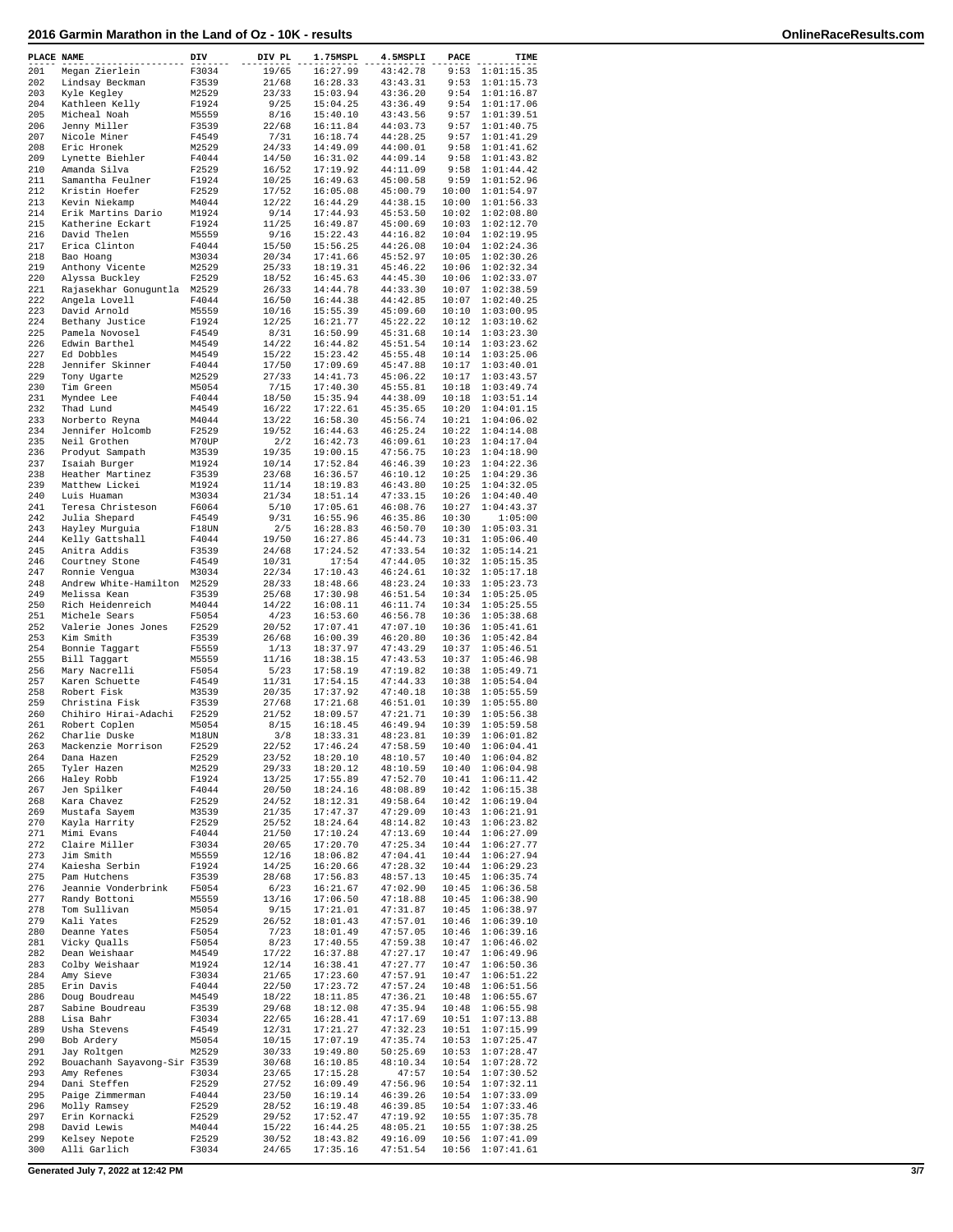| PLACE NAME |                              | DIV   | DIV PL | 1.75MSPL | 4.5MSPLI             | PACE           | TIME                     |
|------------|------------------------------|-------|--------|----------|----------------------|----------------|--------------------------|
| 201        | Megan Zierlein               | F3034 | 19/65  | 16:27.99 | 43:42.78             | 9:53           | 1:01:15.35               |
| 202        | Lindsay Beckman              | F3539 | 21/68  | 16:28.33 | 43:43.31             | 9:53           | 1:01:15.73               |
| 203        | Kyle Kegley                  | M2529 | 23/33  | 15:03.94 | 43:36.20             | 9:54           | 1:01:16.87               |
| 204        | Kathleen Kelly               | F1924 | 9/25   | 15:04.25 | 43:36.49             | 9:54           | 1:01:17.06               |
| 205        | Micheal Noah                 | M5559 | 8/16   | 15:40.10 | 43:43.56             | 9:57           | 1:01:39.51               |
| 206        | Jenny Miller                 | F3539 | 22/68  | 16:11.84 | 44:03.73             | 9:57           | 1:01:40.75               |
| 207        | Nicole Miner                 | F4549 | 7/31   | 16:18.74 | 44:28.25             | 9:57           | 1:01:41.29               |
| 208        | Eric Hronek                  | M2529 | 24/33  | 14:49.09 | 44:00.01             | 9:58           | 1:01:41.62               |
| 209        | Lynette Biehler              | F4044 | 14/50  | 16:31.02 | 44:09.14             | 9:58           | 1:01:43.82               |
| 210        | Amanda Silva                 | F2529 | 16/52  | 17:19.92 | 44:11.09             | 9:58           | 1:01:44.42               |
| 211        | Samantha Feulner             | F1924 | 10/25  | 16:49.63 | 45:00.58             | 9:59           | 1:01:52.96               |
| 212        | Kristin Hoefer               | F2529 | 17/52  | 16:05.08 | 45:00.79             | 10:00          | 1:01:54.97               |
| 213        | Kevin Niekamp                | M4044 | 12/22  | 16:44.29 | 44:38.15             | 10:00          | 1:01:56.33               |
| 214        | Erik Martins Dario           | M1924 | 9/14   | 17:44.93 | 45:53.50             | 10:02          | 1:02:08.80               |
| 215        | Katherine Eckart             | F1924 | 11/25  | 16:49.87 | 45:00.69             | 10:03          | 1:02:12.70               |
| 216        | David Thelen                 | M5559 | 9/16   | 15:22.43 | 44:16.82             | 10:04          | 1:02:19.95               |
| 217        | Erica Clinton                | F4044 | 15/50  | 15:56.25 | 44:26.08             | 10:04          | 1:02:24.36               |
| 218        | Bao Hoang                    | M3034 | 20/34  | 17:41.66 | 45:52.97             | 10:05          | 1:02:30.26               |
| 219        | Anthony Vicente              | M2529 | 25/33  | 18:19.31 | 45:46.22             | 10:06          | 1:02:32.34               |
| 220        | Alyssa Buckley               | F2529 | 18/52  | 16:45.63 | 44:45.30             | 10:06          | 1:02:33.07               |
| 221        | Rajasekhar Gonuguntla        | M2529 | 26/33  | 14:44.78 | 44:33.30             | 10:07          | 1:02:38.59               |
| 222        | Angela Lovell                | F4044 | 16/50  | 16:44.38 | 44:42.85             | 10:07          | 1:02:40.25               |
| 223        | David Arnold                 | M5559 | 10/16  | 15:55.39 | 45:09.60             | 10:10          | 1:03:00.95               |
| 224        | Bethany Justice              | F1924 | 12/25  | 16:21.77 | 45:22.22             | 10:12          | 1:03:10.62               |
| 225        | Pamela Novosel               | F4549 | 8/31   | 16:50.99 | 45:31.68             | 10:14          | 1:03:23.30               |
| 226        | Edwin Barthel                | M4549 | 14/22  | 16:44.82 | 45:51.54             | 10:14          | 1:03:23.62               |
| 227        | Ed Dobbles                   | M4549 | 15/22  | 15:23.42 | 45:55.48             | 10:14          | 1:03:25.06               |
| 228        | Jennifer Skinner             | F4044 | 17/50  | 17:09.69 | 45:47.88             | 10:17          | 1:03:40.01               |
| 229        | Tony Ugarte                  | M2529 | 27/33  | 14:41.73 | 45:06.22             | 10:17          | 1:03:43.57               |
| 230        | Tim Green                    | M5054 | 7/15   | 17:40.30 | 45:55.81             | 10:18          | 1:03:49.74               |
| 231        | Myndee Lee                   | F4044 | 18/50  | 15:35.94 | 44:38.09             | 10:18          | 1:03:51.14               |
| 232        | Thad Lund                    | M4549 | 16/22  | 17:22.61 | 45:35.65             | 10:20          | 1:04:01.15               |
| 233        | Norberto Reyna               | M4044 | 13/22  | 16:58.30 | 45:56.74             | 10:21          | 1:04:06.02               |
| 234        | Jennifer Holcomb             | F2529 | 19/52  | 16:44.63 | 46:25.24             | 10:22          | 1:04:14.08               |
| 235        | Neil Grothen                 | M70UP | 2/2    | 16:42.73 | 46:09.61             | 10:23          | 1:04:17.04               |
| 236        | Prodyut Sampath              | M3539 | 19/35  | 19:00.15 | 47:56.75             | 10:23          | 1:04:18.90               |
| 237        | Isaiah Burger                | M1924 | 10/14  | 17:52.84 | 46:46.39             | 10:23          | 1:04:22.36               |
| 238        | Heather Martinez             | F3539 | 23/68  | 16:36.57 | 46:10.12             | 10:25          | 1:04:29.36               |
| 239        | Matthew Lickei               |       | 11/14  | 18:19.83 | 46:43.80             | 10:25          | 1:04:32.05               |
|            |                              | M1924 |        |          |                      |                |                          |
| 240        | Luis Huaman                  | M3034 | 21/34  | 18:51.14 | 47:33.15             | 10:26          | 1:04:40.40               |
| 241        | Teresa Christeson            | F6064 | 5/10   | 17:05.61 | 46:08.76             | 10:27          | 1:04:43.37               |
| 242        | Julia Shepard                | F4549 | 9/31   | 16:55.96 | 46:35.86             | 10:30          | 1:05:00                  |
| 243        | Hayley Murguia               | F18UN | 2/5    | 16:28.83 | 46:50.70             | 10:30          | 1:05:03.31               |
| 244        | Kelly Gattshall              | F4044 | 19/50  | 16:27.86 | 45:44.73             | 10:31          | 1:05:06.40               |
| 245        | Anitra Addis                 | F3539 | 24/68  | 17:24.52 | 47:33.54             | 10:32          | 1:05:14.21               |
| 246        | Courtney Stone               | F4549 | 10/31  | 17:54    | 47:44.05             | 10:32          | 1:05:15.35               |
| 247        | Ronnie Vengua                | M3034 | 22/34  | 17:10.43 | 46:24.61             | 10:32          | 1:05:17.18               |
| 248        | Andrew White-Hamilton        | M2529 | 28/33  | 18:48.66 | 48:23.24             | 10:33          | 1:05:23.73               |
| 249        | Melissa Kean                 | F3539 | 25/68  | 17:30.98 | 46:51.54             | 10:34          | 1:05:25.05               |
| 250        | Rich Heidenreich             | M4044 | 14/22  | 16:08.11 | 46:11.74             | 10:34          | 1:05:25.55               |
| 251        | Michele Sears                | F5054 | 4/23   | 16:53.60 | 46:56.78             | 10:36          | 1:05:38.68               |
| 252        | Valerie Jones Jones          | F2529 | 20/52  | 17:07.41 | 47:07.10             | 10:36          | 1:05:41.61               |
| 253        | Kim Smith                    | F3539 | 26/68  | 16:00.39 | 46:20.80             | 10:36          | 1:05:42.84               |
| 254        | Bonnie Taggart               | F5559 | 1/13   | 18:37.97 | 47:43.29             | 10:37          | 1:05:46.51               |
| 255        | Bill Taqqart                 | M5559 | 11/16  | 18:38.15 | 47:43.53             | 10:37          | 1:05:46.98               |
| 256        | Mary Nacrelli                | F5054 | 5/23   | 17:58.19 | 47:19.82             | 10:38          | 1:05:49.71               |
| 257        | Karen Schuette               | F4549 | 11/31  | 17:54.15 | 47:44.33             | 10:38          | 1:05:54.04               |
| 258        | Robert Fisk                  | M3539 | 20/35  | 17:37.92 | 47:40.18             | 10:38          | 1:05:55.59               |
| 259        | Christina Fisk               | F3539 | 27/68  | 17:21.68 | 46:51.01             | 10:39          | 1:05:55.80               |
| 260        | Chihiro Hirai-Adachi         | F2529 | 21/52  | 18:09.57 | 47:21.71             | 10:39          | 1:05:56.38               |
| 261        | Robert Coplen                | M5054 | 8/15   | 16:18.45 | 46:49.94             | 10:39          | 1:05:59.58               |
| 262        | Charlie Duske                | M18UN | 3/8    | 18:33.31 | 48:23.81             | 10:39          | 1:06:01.82               |
| 263        | Mackenzie Morrison           | F2529 | 22/52  | 17:46.24 | 47:58.59             | 10:40          | 1:06:04.41               |
| 264        | Dana Hazen                   | F2529 | 23/52  | 18:20.10 | 48:10.57             | 10:40          | 1:06:04.82               |
| 265        | Tyler Hazen                  | M2529 | 29/33  | 18:20.12 | 48:10.59             | 10:40          | 1:06:04.98               |
| 266        | Haley Robb                   | F1924 | 13/25  | 17:55.89 | 47:52.70             | 10:41          | 1:06:11.42               |
| 267        | Jen Spilker                  | F4044 | 20/50  | 18:24.16 | 48:08.89             | 10:42          | 1:06:15.38               |
| 268        | Kara Chavez                  | F2529 | 24/52  | 18:12.31 | 49:58.64             | 10:42          | 1:06:19.04               |
| 269        | Mustafa Sayem                | M3539 | 21/35  | 17:47.37 | 47:29.09             | 10:43          | 1:06:21.91               |
| 270        | Kayla Harrity                | F2529 | 25/52  | 18:24.64 | 48:14.82             | 10:43          | 1:06:23.82               |
| 271        | Mimi Evans                   | F4044 | 21/50  | 17:10.24 | 47:13.69             | 10:44          | 1:06:27.09               |
| 272        | Claire Miller                | F3034 | 20/65  | 17:20.70 | 47:25.34             | 10:44          | 1:06:27.77               |
| 273        | Jim Smith                    | M5559 | 12/16  | 18:06.82 | 47:04.41             | 10:44          | 1:06:27.94               |
| 274        | Kaiesha Serbin               | F1924 | 14/25  | 16:20.66 | 47:28.32             | 10:44          | 1:06:29.23               |
| 275        | Pam Hutchens                 | F3539 | 28/68  | 17:56.83 | 48:57.13             | 10:45          | 1:06:35.74               |
| 276        | Jeannie Vonderbrink          | F5054 | 6/23   | 16:21.67 | 47:02.90             | 10:45          | 1:06:36.58               |
| 277        | Randy Bottoni                | M5559 | 13/16  | 17:06.50 | 47:18.88             | 10:45          | 1:06:38.90               |
| 278        | Tom Sullivan                 | M5054 | 9/15   | 17:21.01 | 47:31.87             | 10:45          | 1:06:38.97               |
| 279        | Kali Yates                   | F2529 | 26/52  | 18:01.43 | 47:57.01             | 10:46          | 1:06:39.10               |
| 280        | Deanne Yates                 | F5054 | 7/23   | 18:01.49 | 47:57.05             | 10:46          | 1:06:39.16               |
| 281        | Vicky Qualls                 | F5054 | 8/23   | 17:40.55 | 47:59.38             | 10:47          | 1:06:46.02               |
|            |                              |       |        |          |                      |                |                          |
| 282        | Dean Weishaar                | M4549 | 17/22  | 16:37.88 | 47:27.17             | 10:47<br>10:47 | 1:06:49.96               |
| 283<br>284 | Colby Weishaar               | M1924 | 12/14  | 16:38.41 | 47:27.77<br>47:57.91 | 10:47          | 1:06:50.36<br>1:06:51.22 |
|            | Amy Sieve                    | F3034 | 21/65  | 17:23.60 |                      |                |                          |
| 285        | Erin Davis                   | F4044 | 22/50  | 17:23.72 | 47:57.24             | 10:48          | 1:06:51.56               |
| 286        | Doug Boudreau                | M4549 | 18/22  | 18:11.85 | 47:36.21             | 10:48          | 1:06:55.67               |
| 287        | Sabine Boudreau              | F3539 | 29/68  | 18:12.08 | 47:35.94             | 10:48          | 1:06:55.98               |
| 288        | Lisa Bahr                    | F3034 | 22/65  | 16:28.41 | 47:17.69             | 10:51          | 1:07:13.88               |
| 289        | Usha Stevens                 | F4549 | 12/31  | 17:21.27 | 47:32.23             | 10:51          | 1:07:15.99               |
| 290        | Bob Ardery                   | M5054 | 10/15  | 17:07.19 | 47:35.74             | 10:53          | 1:07:25.47               |
| 291        | Jay Roltgen                  | M2529 | 30/33  | 19:49.80 | 50:25.69             | 10:53          | 1:07:28.47               |
| 292        | Bouachanh Sayavong-Sir F3539 |       | 30/68  | 16:10.85 | 48:10.34             | 10:54          | 1:07:28.72               |
| 293        | Amy Refenes                  | F3034 | 23/65  | 17:15.28 | 47:57                | 10:54          | 1:07:30.52               |
| 294        | Dani Steffen                 | F2529 | 27/52  | 16:09.49 | 47:56.96             | 10:54          | 1:07:32.11               |
| 295        | Paige Zimmerman              | F4044 | 23/50  | 16:19.14 | 46:39.26             | 10:54          | 1:07:33.09               |
| 296        | Molly Ramsey                 | F2529 | 28/52  | 16:19.48 | 46:39.85             | 10:54          | 1:07:33.46               |
| 297        | Erin Kornacki                | F2529 | 29/52  | 17:52.47 | 47:19.92             | 10:55          | 1:07:35.78               |
| 298        | David Lewis                  | M4044 | 15/22  | 16:44.25 | 48:05.21             | 10:55          | 1:07:38.25               |
| 299        | Kelsey Nepote                | F2529 | 30/52  | 18:43.82 | 49:16.09             | 10:56          | 1:07:41.09               |
| 300        | Alli Garlich                 | F3034 | 24/65  | 17:35.16 | 47:51.54             | 10:56          | 1:07:41.61               |
|            |                              |       |        |          |                      |                |                          |

**Generated July 7, 2022 at 12:42 PM 3/7**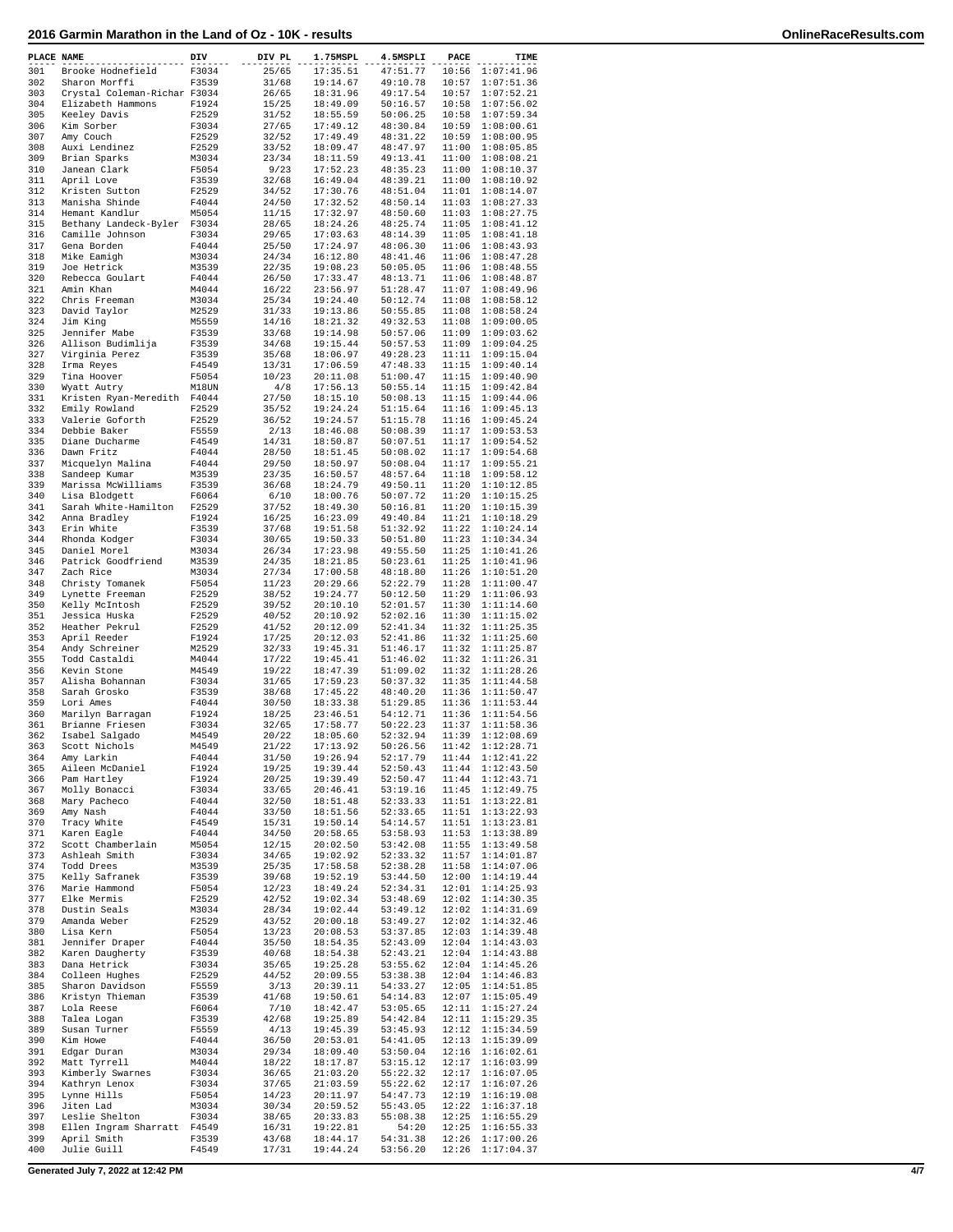| PLACE NAME |                                          | DIV            | DIV PL         | 1.75MSPL             | 4.5MSPLI             | PACE           | TIME                     |
|------------|------------------------------------------|----------------|----------------|----------------------|----------------------|----------------|--------------------------|
| 301        | Brooke Hodnefield                        | F3034          | 25/65          | 17:35.51             | 47:51.77             | 10:56          | 1:07:41.96               |
| 302        | Sharon Morffi                            | F3539          | 31/68          | 19:14.67             | 49:10.78             | 10:57          | 1:07:51.36               |
| 303        | Crystal Coleman-Richar F3034             |                | 26/65          | 18:31.96             | 49:17.54             | 10:57          | 1:07:52.21               |
| 304        | Elizabeth Hammons                        | F1924          | 15/25          | 18:49.09             | 50:16.57             | 10:58          | 1:07:56.02               |
| 305<br>306 | Keeley Davis<br>Kim Sorber               | F2529<br>F3034 | 31/52<br>27/65 | 18:55.59<br>17:49.12 | 50:06.25<br>48:30.84 | 10:58<br>10:59 | 1:07:59.34<br>1:08:00.61 |
| 307        | Amy Couch                                | F2529          | 32/52          | 17:49.49             | 48:31.22             | 10:59          | 1:08:00.95               |
| 308        | Auxi Lendinez                            | F2529          | 33/52          | 18:09.47             | 48:47.97             | 11:00          | 1:08:05.85               |
| 309        | Brian Sparks                             | M3034          | 23/34          | 18:11.59             | 49:13.41             | 11:00          | 1:08:08.21               |
| 310<br>311 | Janean Clark<br>April Love               | F5054<br>F3539 | 9/23<br>32/68  | 17:52.23<br>16:49.04 | 48:35.23<br>48:39.21 | 11:00<br>11:00 | 1:08:10.37<br>1:08:10.92 |
| 312        | Kristen Sutton                           | F2529          | 34/52          | 17:30.76             | 48:51.04             | 11:01          | 1:08:14.07               |
| 313        | Manisha Shinde                           | F4044          | 24/50          | 17:32.52             | 48:50.14             | 11:03          | 1:08:27.33               |
| 314        | Hemant Kandlur                           | M5054          | 11/15          | 17:32.97             | 48:50.60             | 11:03          | 1:08:27.75               |
| 315<br>316 | Bethany Landeck-Byler<br>Camille Johnson | F3034<br>F3034 | 28/65<br>29/65 | 18:24.26<br>17:03.63 | 48:25.74<br>48:14.39 | 11:05<br>11:05 | 1:08:41.12<br>1:08:41.18 |
| 317        | Gena Borden                              | F4044          | 25/50          | 17:24.97             | 48:06.30             | 11:06          | 1:08:43.93               |
| 318        | Mike Eamigh                              | M3034          | 24/34          | 16:12.80             | 48:41.46             | 11:06          | 1:08:47.28               |
| 319        | Joe Hetrick                              | M3539          | 22/35          | 19:08.23             | 50:05.05             | 11:06          | 1:08:48.55               |
| 320<br>321 | Rebecca Goulart<br>Amin Khan             | F4044<br>M4044 | 26/50<br>16/22 | 17:33.47<br>23:56.97 | 48:13.71<br>51:28.47 | 11:06<br>11:07 | 1:08:48.87<br>1:08:49.96 |
| 322        | Chris Freeman                            | M3034          | 25/34          | 19:24.40             | 50:12.74             | 11:08          | 1:08:58.12               |
| 323        | David Taylor                             | M2529          | 31/33          | 19:13.86             | 50:55.85             | 11:08          | 1:08:58.24               |
| 324        | Jim King                                 | M5559          | 14/16          | 18:21.32             | 49:32.53             | 11:08          | 1:09:00.05               |
| 325<br>326 | Jennifer Mabe<br>Allison Budimlija       | F3539          | 33/68<br>34/68 | 19:14.98<br>19:15.44 | 50:57.06<br>50:57.53 | 11:09<br>11:09 | 1:09:03.62<br>1:09:04.25 |
| 327        | Virginia Perez                           | F3539<br>F3539 | 35/68          | 18:06.97             | 49:28.23             | 11:11          | 1:09:15.04               |
| 328        | Irma Reyes                               | F4549          | 13/31          | 17:06.59             | 47:48.33             | 11:15          | 1:09:40.14               |
| 329        | Tina Hoover                              | F5054          | 10/23          | 20:11.08             | 51:00.47             | 11:15          | 1:09:40.90               |
| 330<br>331 | Wyatt Autry<br>Kristen Ryan-Meredith     | M18UN<br>F4044 | 4/8<br>27/50   | 17:56.13<br>18:15.10 | 50:55.14<br>50:08.13 | 11:15<br>11:15 | 1:09:42.84<br>1:09:44.06 |
| 332        | Emily Rowland                            | F2529          | 35/52          | 19:24.24             | 51:15.64             | 11:16          | 1:09:45.13               |
| 333        | Valerie Goforth                          | F2529          | 36/52          | 19:24.57             | 51:15.78             | 11:16          | 1:09:45.24               |
| 334        | Debbie Baker                             | F5559          | 2/13           | 18:46.08             | 50:08.39             | 11:17          | 1:09:53.53               |
| 335<br>336 | Diane Ducharme<br>Dawn Fritz             | F4549<br>F4044 | 14/31<br>28/50 | 18:50.87<br>18:51.45 | 50:07.51<br>50:08.02 | 11:17<br>11:17 | 1:09:54.52<br>1:09:54.68 |
| 337        | Micquelyn Malina                         | F4044          | 29/50          | 18:50.97             | 50:08.04             | 11:17          | 1:09:55.21               |
| 338        | Sandeep Kumar                            | M3539          | 23/35          | 16:50.57             | 48:57.64             | 11:18          | 1:09:58.12               |
| 339        | Marissa McWilliams                       | F3539          | 36/68          | 18:24.79             | 49:50.11             | 11:20          | 1:10:12.85               |
| 340        | Lisa Blodgett                            | F6064          | 6/10           | 18:00.76             | 50:07.72             | 11:20          | 1:10:15.25               |
| 341<br>342 | Sarah White-Hamilton<br>Anna Bradley     | F2529<br>F1924 | 37/52<br>16/25 | 18:49.30<br>16:23.09 | 50:16.81<br>49:40.84 | 11:20<br>11:21 | 1:10:15.39<br>1:10:18.29 |
| 343        | Erin White                               | F3539          | 37/68          | 19:51.58             | 51:32.92             | 11:22          | 1:10:24.14               |
| 344        | Rhonda Kodger                            | F3034          | 30/65          | 19:50.33             | 50:51.80             | 11:23          | 1:10:34.34               |
| 345        | Daniel Morel                             | M3034          | 26/34          | 17:23.98             | 49:55.50             | 11:25          | 1:10:41.26               |
| 346<br>347 | Patrick Goodfriend<br>Zach Rice          | M3539<br>M3034 | 24/35<br>27/34 | 18:21.85<br>17:00.58 | 50:23.61<br>48:18.80 | 11:25<br>11:26 | 1:10:41.96<br>1:10:51.20 |
| 348        | Christy Tomanek                          | F5054          | 11/23          | 20:29.66             | 52:22.79             | 11:28          | 1:11:00.47               |
| 349        | Lynette Freeman                          | F2529          | 38/52          | 19:24.77             | 50:12.50             | 11:29          | 1:11:06.93               |
| 350        | Kelly McIntosh                           | F2529          | 39/52          | 20:10.10             | 52:01.57             | 11:30          | 1:11:14.60               |
| 351<br>352 | Jessica Huska<br>Heather Pekrul          | F2529<br>F2529 | 40/52<br>41/52 | 20:10.92<br>20:12.09 | 52:02.16<br>52:41.34 | 11:30<br>11:32 | 1:11:15.02<br>1:11:25.35 |
| 353        | April Reeder                             | F1924          | 17/25          | 20:12.03             | 52:41.86             | 11:32          | 1:11:25.60               |
| 354        | Andy Schreiner                           | M2529          | 32/33          | 19:45.31             | 51:46.17             | 11:32          | 1:11:25.87               |
| 355        | Todd Castaldi                            | M4044          | 17/22          | 19:45.41             | 51:46.02             | 11:32          | 1:11:26.31               |
| 356<br>357 | Kevin Stone<br>Alisha Bohannan           | M4549<br>F3034 | 19/22<br>31/65 | 18:47.39<br>17:59.23 | 51:09.02<br>50:37.32 | 11:32<br>11:35 | 1:11:28.26<br>1:11:44.58 |
| 358        | Sarah Grosko                             | F3539          | 38/68          | 17:45.22             | 48:40.20             | 11:36          | 1:11:50.47               |
| 359        | Lori Ames                                | F4044          | 30/50          | 18:33.38             | 51:29.85             | 11:36          | 1:11:53.44               |
| 360<br>361 | Marilyn Barragan                         | F1924<br>F3034 | 18/25          | 23:46.51<br>17:58.77 | 54:12.71<br>50:22.23 | 11:36<br>11:37 | 1:11:54.56<br>1:11:58.36 |
| 362        | Brianne Friesen<br>Isabel Salgado        | M4549          | 32/65<br>20/22 | 18:05.60             | 52:32.94             | 11:39          | 1:12:08.69               |
| 363        | Scott Nichols                            | M4549          | 21/22          | 17:13.92             | 50:26.56             | 11:42          | 1:12:28.71               |
| 364        | Amy Larkin                               | F4044          | 31/50          | 19:26.94             | 52:17.79             | 11:44          | 1:12:41.22               |
| 365<br>366 | Aileen McDaniel                          | F1924<br>F1924 | 19/25<br>20/25 | 19:39.44<br>19:39.49 | 52:50.43<br>52:50.47 | 11:44<br>11:44 | 1:12:43.50<br>1:12:43.71 |
| 367        | Pam Hartley<br>Molly Bonacci             | F3034          | 33/65          | 20:46.41             | 53:19.16             | 11:45          | 1:12:49.75               |
| 368        | Mary Pacheco                             | F4044          | 32/50          | 18:51.48             | 52:33.33             | 11:51          | 1:13:22.81               |
| 369        | Amy Nash                                 | F4044          | 33/50          | 18:51.56             | 52:33.65             | 11:51          | 1:13:22.93               |
| 370<br>371 | Tracy White<br>Karen Eagle               | F4549<br>F4044 | 15/31<br>34/50 | 19:50.14<br>20:58.65 | 54:14.57<br>53:58.93 | 11:51<br>11:53 | 1:13:23.81<br>1:13:38.89 |
| 372        | Scott Chamberlain                        | M5054          | 12/15          | 20:02.50             | 53:42.08             | 11:55          | 1:13:49.58               |
| 373        | Ashleah Smith                            | F3034          | 34/65          | 19:02.92             | 52:33.32             | 11:57          | 1:14:01.87               |
| 374        | Todd Drees                               | M3539          | 25/35          | 17:58.58             | 52:38.28             | 11:58          | 1:14:07.06               |
| 375<br>376 | Kelly Safranek<br>Marie Hammond          | F3539<br>F5054 | 39/68<br>12/23 | 19:52.19<br>18:49.24 | 53:44.50<br>52:34.31 | 12:00<br>12:01 | 1:14:19.44<br>1:14:25.93 |
| 377        | Elke Mermis                              | F2529          | 42/52          | 19:02.34             | 53:48.69             | 12:02          | 1:14:30.35               |
| 378        | Dustin Seals                             | M3034          | 28/34          | 19:02.44             | 53:49.12             | 12:02          | 1:14:31.69               |
| 379        | Amanda Weber                             | F2529          | 43/52          | 20:00.18             | 53:49.27             | 12:02          | 1:14:32.46               |
| 380<br>381 | Lisa Kern<br>Jennifer Draper             | F5054<br>F4044 | 13/23<br>35/50 | 20:08.53<br>18:54.35 | 53:37.85<br>52:43.09 | 12:03<br>12:04 | 1:14:39.48<br>1:14:43.03 |
| 382        | Karen Daugherty                          | F3539          | 40/68          | 18:54.38             | 52:43.21             | 12:04          | 1:14:43.88               |
| 383        | Dana Hetrick                             | F3034          | 35/65          | 19:25.28             | 53:55.62             | 12:04          | 1:14:45.26               |
| 384        | Colleen Hughes                           | F2529          | 44/52          | 20:09.55             | 53:38.38             | 12:04          | 1:14:46.83               |
| 385        | Sharon Davidson                          | F5559          | 3/13           | 20:39.11             | 54:33.27             | 12:05          | 1:14:51.85               |
| 386<br>387 | Kristyn Thieman<br>Lola Reese            | F3539<br>F6064 | 41/68<br>7/10  | 19:50.61<br>18:42.47 | 54:14.83<br>53:05.65 | 12:07<br>12:11 | 1:15:05.49<br>1:15:27.24 |
| 388        | Talea Logan                              | F3539          | 42/68          | 19:25.89             | 54:42.84             | 12:11          | 1:15:29.35               |
| 389        | Susan Turner                             | F5559          | 4/13           | 19:45.39             | 53:45.93             | 12:12          | 1:15:34.59               |
| 390        | Kim Howe                                 | F4044          | 36/50          | 20:53.01             | 54:41.05             | 12:13          | 1:15:39.09               |
| 391<br>392 | Edgar Duran<br>Matt Tyrrell              | M3034<br>M4044 | 29/34<br>18/22 | 18:09.40<br>18:17.87 | 53:50.04<br>53:15.12 | 12:16<br>12:17 | 1:16:02.61<br>1:16:03.99 |
| 393        | Kimberly Swarnes                         | F3034          | 36/65          | 21:03.20             | 55:22.32             | 12:17          | 1:16:07.05               |
| 394        | Kathryn Lenox                            | F3034          | 37/65          | 21:03.59             | 55:22.62             | 12:17          | 1:16:07.26               |
| 395        | Lynne Hills                              | F5054          | 14/23          | 20:11.97             | 54:47.73             | 12:19          | 1:16:19.08               |
| 396<br>397 | Jiten Lad<br>Leslie Shelton              | M3034<br>F3034 | 30/34<br>38/65 | 20:59.52<br>20:33.83 | 55:43.05<br>55:08.38 | 12:22<br>12:25 | 1:16:37.18<br>1:16:55.29 |
| 398        | Ellen Ingram Sharratt                    | F4549          | 16/31          | 19:22.81             | 54:20                | 12:25          | 1:16:55.33               |
| 399        | April Smith                              | F3539          | 43/68          | 18:44.17             | 54:31.38             | 12:26          | 1:17:00.26               |
| 400        | Julie Guill                              | F4549          | 17/31          | 19:44.24             | 53:56.20             | 12:26          | 1:17:04.37               |

**Generated July 7, 2022 at 12:42 PM 4/7**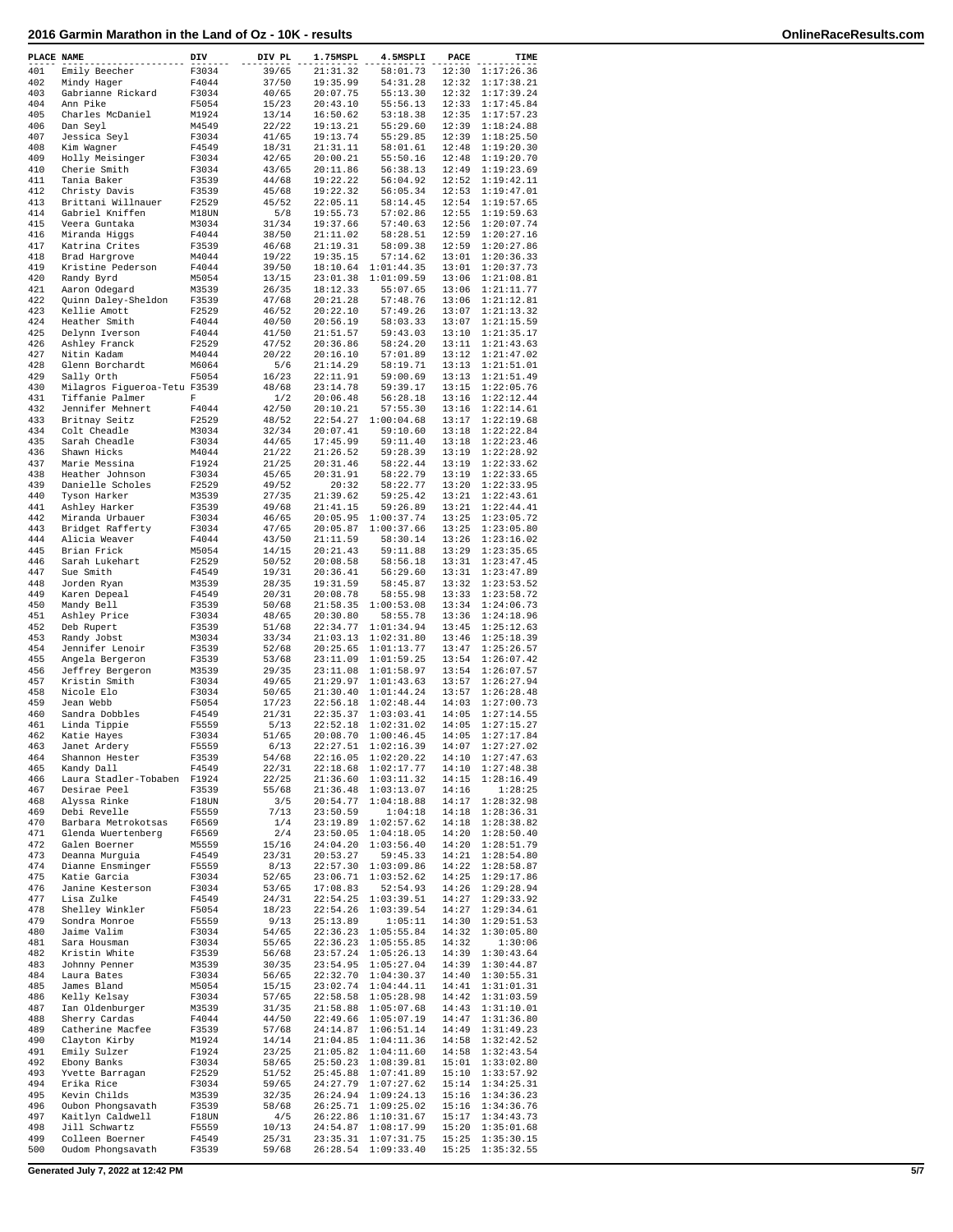| PLACE NAME |                                           | DIV            | DIV PL         | 1.75MSPL             | 4.5MSPLI                                   | PACE  | TIME                                 |
|------------|-------------------------------------------|----------------|----------------|----------------------|--------------------------------------------|-------|--------------------------------------|
| 401        | Emily Beecher                             | F3034          | 39/65          | 21:31.32             | 58:01.73                                   |       | 12:30 1:17:26.36                     |
| 402<br>403 | Mindy Hager<br>Gabrianne Rickard          | F4044<br>F3034 | 37/50<br>40/65 | 19:35.99<br>20:07.75 | 54:31.28<br>55:13.30                       |       | 12:32 1:17:38.21<br>12:32 1:17:39.24 |
| 404        | Ann Pike                                  | F5054          | 15/23          | 20:43.10             | 55:56.13                                   |       | 12:33 1:17:45.84                     |
| 405        | Charles McDaniel                          | M1924          | 13/14          | 16:50.62             | 53:18.38                                   |       | 12:35 1:17:57.23                     |
| 406<br>407 | Dan Seyl<br>Jessica Seyl                  | M4549<br>F3034 | 22/22<br>41/65 | 19:13.21<br>19:13.74 | 55:29.60<br>55:29.85                       |       | 12:39 1:18:24.88<br>12:39 1:18:25.50 |
| 408        | Kim Wagner                                | F4549          | 18/31          | 21:31.11             | 58:01.61                                   |       | 12:48 1:19:20.30                     |
| 409        | Holly Meisinger                           | F3034          | 42/65          | 20:00.21             | 55:50.16                                   |       | 12:48 1:19:20.70                     |
| 410        | Cherie Smith                              | F3034          | 43/65          | 20:11.86             | 56:38.13                                   |       | 12:49 1:19:23.69                     |
| 411<br>412 | Tania Baker<br>Christy Davis              | F3539<br>F3539 | 44/68<br>45/68 | 19:22.22<br>19:22.32 | 56:04.92<br>56:05.34                       |       | 12:52 1:19:42.11<br>12:53 1:19:47.01 |
| 413        | Brittani Willnauer                        | F2529          | 45/52          | 22:05.11             | 58:14.45                                   |       | 12:54 1:19:57.65                     |
| 414        | Gabriel Kniffen                           | M18UN          | 5/8            | 19:55.73             | 57:02.86                                   |       | 12:55 1:19:59.63                     |
| 415<br>416 | Veera Guntaka<br>Miranda Higgs            | M3034<br>F4044 | 31/34<br>38/50 | 19:37.66<br>21:11.02 | 57:40.63<br>58:28.51                       |       | 12:56 1:20:07.74<br>12:59 1:20:27.16 |
| 417        | Katrina Crites                            | F3539          | 46/68          | 21:19.31             | 58:09.38                                   |       | 12:59 1:20:27.86                     |
| 418        | Brad Hargrove                             | M4044          | 19/22          | 19:35.15             | 57:14.62                                   |       | 13:01 1:20:36.33                     |
| 419        | Kristine Pederson                         | F4044          | 39/50          |                      | 18:10.64 1:01:44.35                        |       | 13:01 1:20:37.73                     |
| 420<br>421 | Randy Byrd<br>Aaron Odegard               | M5054<br>M3539 | 13/15<br>26/35 | 18:12.33             | 23:01.38 1:01:09.59<br>55:07.65            |       | 13:06 1:21:08.81<br>13:06 1:21:11.77 |
| 422        | Quinn Daley-Sheldon                       | F3539          | 47/68          | 20:21.28             | 57:48.76                                   |       | 13:06 1:21:12.81                     |
| 423        | Kellie Amott                              | F2529          | 46/52          | 20:22.10             | 57:49.26                                   |       | 13:07 1:21:13.32                     |
| 424        | Heather Smith                             | F4044          | 40/50          | 20:56.19             | 58:03.33                                   |       | 13:07 1:21:15.59                     |
| 425<br>426 | Delynn Iverson<br>Ashley Franck           | F4044<br>F2529 | 41/50<br>47/52 | 21:51.57<br>20:36.86 | 59:43.03<br>58:24.20                       |       | 13:10 1:21:35.17<br>13:11 1:21:43.63 |
| 427        | Nitin Kadam                               | M4044          | 20/22          | 20:16.10             | 57:01.89                                   |       | 13:12 1:21:47.02                     |
| 428        | Glenn Borchardt                           | M6064          | 5/6            | 21:14.29             | 58:19.71                                   |       | 13:13 1:21:51.01                     |
| 429        | Sally Orth                                | F5054          | 16/23          | 22:11.91             | 59:00.69                                   |       | 13:13 1:21:51.49                     |
| 430        | Milagros Figueroa-Tetu F3539              |                | 48/68          | 23:14.78<br>20:06.48 | 59:39.17                                   |       | 13:15 1:22:05.76                     |
| 431<br>432 | Tiffanie Palmer<br>Jennifer Mehnert       | F<br>F4044     | 1/2<br>42/50   | 20:10.21             | 56:28.18<br>57:55.30                       |       | 13:16 1:22:12.44<br>13:16 1:22:14.61 |
| 433        | Britnay Seitz                             | F2529          | 48/52          |                      | 22:54.27 1:00:04.68                        |       | 13:17 1:22:19.68                     |
| 434        | Colt Cheadle                              | M3034          | 32/34          | 20:07.41             | 59:10.60                                   |       | 13:18 1:22:22.84                     |
| 435        | Sarah Cheadle                             | F3034          | 44/65          | 17:45.99             | 59:11.40                                   |       | 13:18 1:22:23.46                     |
| 436        | Shawn Hicks                               | M4044          | 21/22<br>21/25 | 21:26.52<br>20:31.46 | 59:28.39<br>58:22.44                       |       | 13:19 1:22:28.92<br>13:19 1:22:33.62 |
| 437<br>438 | Marie Messina<br>Heather Johnson          | F1924<br>F3034 | 45/65          | 20:31.91             | 58:22.79                                   |       | 13:19 1:22:33.65                     |
| 439        | Danielle Scholes                          | F2529          | 49/52          | 20:32                | 58:22.77                                   |       | 13:20 1:22:33.95                     |
| 440        | Tyson Harker                              | M3539          | 27/35          | 21:39.62             | 59:25.42                                   |       | 13:21 1:22:43.61                     |
| 441        | Ashley Harker                             | F3539          | 49/68          | 21:41.15             | 59:26.89                                   |       | 13:21 1:22:44.41                     |
| 442<br>443 | Miranda Urbauer<br>Bridget Rafferty       | F3034<br>F3034 | 46/65<br>47/65 |                      | 20:05.95 1:00:37.74<br>20:05.87 1:00:37.66 |       | 13:25 1:23:05.72<br>13:25 1:23:05.80 |
| 444        | Alicia Weaver                             | F4044          | 43/50          | 21:11.59             | 58:30.14                                   |       | 13:26 1:23:16.02                     |
| 445        | Brian Frick                               | M5054          | 14/15          | 20:21.43             | 59:11.88                                   |       | 13:29 1:23:35.65                     |
| 446        | Sarah Lukehart                            | F2529          | 50/52          | 20:08.58             | 58:56.18                                   |       | 13:31 1:23:47.45                     |
| 447<br>448 | Sue Smith<br>Jorden Ryan                  | F4549<br>M3539 | 19/31<br>28/35 | 20:36.41<br>19:31.59 | 56:29.60<br>58:45.87                       |       | 13:31 1:23:47.89<br>13:32 1:23:53.52 |
| 449        | Karen Depeal                              | F4549          | 20/31          | 20:08.78             | 58:55.98                                   |       | 13:33 1:23:58.72                     |
| 450        | Mandy Bell                                | F3539          | 50/68          |                      | 21:58.35 1:00:53.08                        |       | 13:34 1:24:06.73                     |
| 451        | Ashley Price                              | F3034          | 48/65          | 20:30.80             | 58:55.78                                   |       | 13:36 1:24:18.96                     |
| 452        | Deb Rupert                                | F3539          | 51/68          |                      | 22:34.77 1:01:34.94                        |       | 13:45 1:25:12.63                     |
| 453<br>454 | Randy Jobst<br>Jennifer Lenoir            | M3034<br>F3539 | 33/34<br>52/68 |                      | 21:03.13 1:02:31.80<br>20:25.65 1:01:13.77 |       | 13:46 1:25:18.39<br>13:47 1:25:26.57 |
| 455        | Angela Bergeron                           | F3539          | 53/68          |                      | 23:11.09 1:01:59.25                        |       | 13:54 1:26:07.42                     |
| 456        | Jeffrey Bergeron                          | M3539          | 29/35          |                      | 23:11.08 1:01:58.97                        |       | 13:54 1:26:07.57                     |
| 457        | Kristin Smith                             | F3034          | 49/65          |                      | 21:29.97 1:01:43.63                        |       | 13:57 1:26:27.94                     |
| 458        | Nicole Elo                                | F3034          | 50/65          |                      | 21:30.40 1:01:44.24                        |       | 13:57 1:26:28.48                     |
| 459<br>460 | Jean Webb<br>Sandra Dobbles               | F5054<br>F4549 | 17/23<br>21/31 |                      | 22:56.18 1:02:48.44<br>22:35.37 1:03:03.41 |       | 14:03 1:27:00.73<br>14:05 1:27:14.55 |
| 461        | Linda Tippie                              | F5559          | 5/13           |                      | 22:52.18 1:02:31.02                        |       | 14:05 1:27:15.27                     |
| 462        | Katie Hayes                               | F3034          | 51/65          |                      | 20:08.70 1:00:46.45                        |       | 14:05 1:27:17.84                     |
| 463        | Janet Ardery                              | F5559          | 6/13           |                      | 22:27.51 1:02:16.39                        |       | 14:07 1:27:27.02                     |
| 464<br>465 | Shannon Hester<br>Kandy Dall              | F3539          | 54/68          |                      | 22:16.05 1:02:20.22<br>22:18.68 1:02:17.77 |       | 14:10 1:27:47.63<br>14:10 1:27:48.38 |
| 466        | Laura Stadler-Tobaben                     | F4549<br>F1924 | 22/31<br>22/25 |                      | 21:36.60 1:03:11.32                        |       | 14:15 1:28:16.49                     |
| 467        | Desirae Peel                              | F3539          | 55/68          |                      | 21:36.48 1:03:13.07                        | 14:16 | 1:28:25                              |
| 468        | Alyssa Rinke                              | F18UN          | 3/5            |                      | 20:54.77 1:04:18.88                        |       | 14:17 1:28:32.98                     |
| 469        | Debi Revelle                              | F5559          | 7/13           | 23:50.59             | 1:04:18                                    |       | 14:18 1:28:36.31                     |
| 470<br>471 | Barbara Metrokotsas<br>Glenda Wuertenberg | F6569<br>F6569 | 1/4<br>2/4     |                      | 23:19.89 1:02:57.62<br>23:50.05 1:04:18.05 |       | 14:18 1:28:38.82<br>14:20 1:28:50.40 |
| 472        | Galen Boerner                             | M5559          | 15/16          |                      | 24:04.20 1:03:56.40                        |       | 14:20 1:28:51.79                     |
| 473        | Deanna Murguia                            | F4549          | 23/31          | 20:53.27             | 59:45.33                                   |       | 14:21 1:28:54.80                     |
| 474        | Dianne Ensminger                          | F5559          | 8/13           |                      | 22:57.30 1:03:09.86                        |       | 14:22 1:28:58.87                     |
| 475        | Katie Garcia                              | F3034          | 52/65          |                      | 23:06.71 1:03:52.62                        |       | 14:25 1:29:17.86                     |
| 476<br>477 | Janine Kesterson<br>Lisa Zulke            | F3034<br>F4549 | 53/65<br>24/31 | 17:08.83             | 52:54.93<br>22:54.25 1:03:39.51            |       | 14:26 1:29:28.94<br>14:27 1:29:33.92 |
| 478        | Shelley Winkler                           | F5054          | 18/23          |                      | 22:54.26 1:03:39.54                        |       | 14:27 1:29:34.61                     |
| 479        | Sondra Monroe                             | F5559          | 9/13           | 25:13.89             | 1:05:11                                    |       | 14:30 1:29:51.53                     |
| 480        | Jaime Valim                               | F3034          | 54/65          |                      | 22:36.23 1:05:55.84                        |       | 14:32 1:30:05.80                     |
| 481<br>482 | Sara Housman<br>Kristin White             | F3034<br>F3539 | 55/65<br>56/68 |                      | 22:36.23 1:05:55.85<br>23:57.24 1:05:26.13 | 14:32 | 1:30:06<br>14:39 1:30:43.64          |
| 483        | Johnny Penner                             | M3539          | 30/35          |                      | 23:54.95 1:05:27.04                        |       | 14:39 1:30:44.87                     |
| 484        | Laura Bates                               | F3034          | 56/65          |                      | 22:32.70 1:04:30.37                        |       | 14:40 1:30:55.31                     |
| 485        | James Bland                               | M5054          | 15/15          |                      | 23:02.74 1:04:44.11                        |       | 14:41 1:31:01.31                     |
| 486        | Kelly Kelsay                              | F3034          | 57/65          |                      | 22:58.58 1:05:28.98                        |       | 14:42 1:31:03.59                     |
| 487<br>488 | Ian Oldenburger<br>Sherry Cardas          | M3539<br>F4044 | 31/35<br>44/50 |                      | 21:58.88 1:05:07.68<br>22:49.66 1:05:07.19 |       | 14:43 1:31:10.01<br>14:47 1:31:36.80 |
| 489        | Catherine Macfee                          | F3539          | 57/68          |                      | 24:14.87 1:06:51.14                        |       | 14:49 1:31:49.23                     |
| 490        | Clayton Kirby                             | M1924          | 14/14          |                      | 21:04.85 1:04:11.36                        |       | 14:58 1:32:42.52                     |
| 491        | Emily Sulzer                              | F1924          | 23/25          |                      | 21:05.82 1:04:11.60                        |       | 14:58 1:32:43.54                     |
| 492        | Ebony Banks                               | F3034          | 58/65          |                      | 25:50.23 1:08:39.81                        |       | 15:01 1:33:02.80                     |
| 493<br>494 | Yvette Barragan<br>Erika Rice             | F2529<br>F3034 | 51/52<br>59/65 |                      | 25:45.88 1:07:41.89<br>24:27.79 1:07:27.62 |       | 15:10 1:33:57.92<br>15:14 1:34:25.31 |
| 495        | Kevin Childs                              | M3539          | 32/35          |                      | 26:24.94 1:09:24.13                        |       | 15:16 1:34:36.23                     |
| 496        | Oubon Phongsavath                         | F3539          | 58/68          |                      | 26:25.71 1:09:25.02                        |       | 15:16 1:34:36.76                     |
| 497        | Kaitlyn Caldwell                          | F18UN          | 4/5            |                      | 26:22.86 1:10:31.67                        |       | 15:17 1:34:43.73                     |
| 498<br>499 | Jill Schwartz                             | F5559          | 10/13          |                      | 24:54.87 1:08:17.99                        |       | 15:20 1:35:01.68                     |
| 500        | Colleen Boerner<br>Oudom Phongsavath      | F4549<br>F3539 | 25/31<br>59/68 |                      | 23:35.31 1:07:31.75<br>26:28.54 1:09:33.40 |       | 15:25 1:35:30.15<br>15:25 1:35:32.55 |
|            |                                           |                |                |                      |                                            |       |                                      |
|            | Generated July 7, 2022 at 12:42 PM        |                |                |                      |                                            |       |                                      |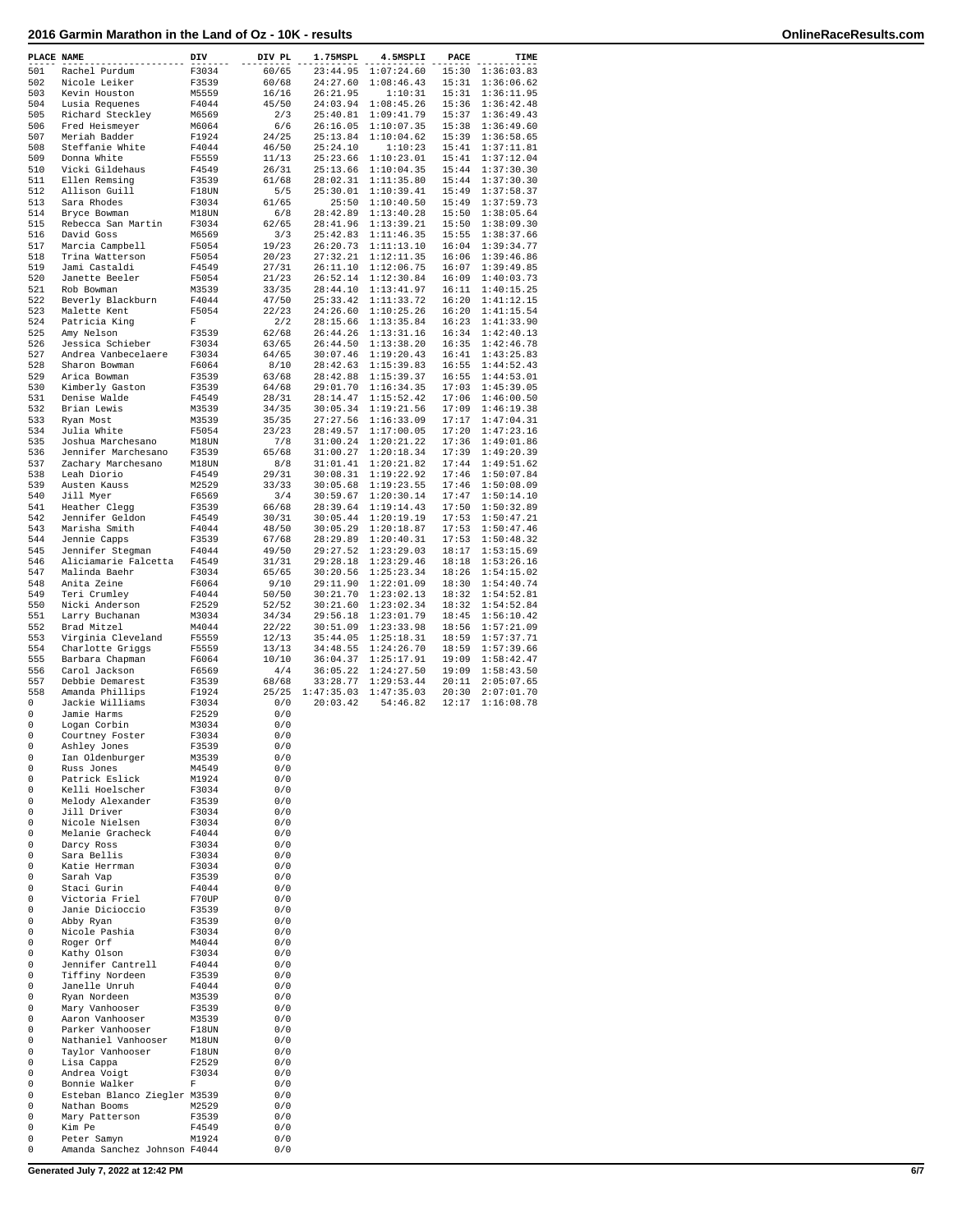## **2016 Garmin Marathon in the Land of Oz - 10K - results OnlineRaceResults.com**

| PLACE NAME |                                      | DIV            | DIV PL         | 1.75MSPL             | 4.5MSPLI                 | PACE           | TIME                     |
|------------|--------------------------------------|----------------|----------------|----------------------|--------------------------|----------------|--------------------------|
| 501        | Rachel Purdum                        | F3034          | 60/65          | 23:44.95             | 1:07:24.60               | 15:30          | 1:36:03.83               |
| 502        | Nicole Leiker                        | F3539          | 60/68          | 24:27.60             | 1:08:46.43               | 15:31          | 1:36:06.62               |
| 503        | Kevin Houston                        | M5559          | 16/16          | 26:21.95             | 1:10:31                  | 15:31          | 1:36:11.95               |
| 504        | Lusia Requenes                       | F4044          | 45/50          | 24:03.94             | 1:08:45.26               | 15:36          | 1:36:42.48               |
| 505        | Richard Steckley                     | M6569          | 2/3            | 25:40.81             | 1:09:41.79               | 15:37          | 1:36:49.43<br>1:36:49.60 |
| 506<br>507 | Fred Heismeyer<br>Meriah Badder      | M6064<br>F1924 | 6/6<br>24/25   | 26:16.05<br>25:13.84 | 1:10:07.35<br>1:10:04.62 | 15:38<br>15:39 | 1:36:58.65               |
| 508        | Steffanie White                      | F4044          | 46/50          | 25:24.10             | 1:10:23                  | 15:41          | 1:37:11.81               |
| 509        | Donna White                          | F5559          | 11/13          | 25:23.66             | 1:10:23.01               | 15:41          | 1:37:12.04               |
| 510        | Vicki Gildehaus                      | F4549          | 26/31          | 25:13.66             | 1:10:04.35               | 15:44          | 1:37:30.30               |
| 511        | Ellen Remsing                        | F3539          | 61/68          | 28:02.31             | 1:11:35.80               | 15:44          | 1:37:30.30               |
| 512        | Allison Guill                        | F18UN          | 5/5            | 25:30.01             | 1:10:39.41               | 15:49          | 1:37:58.37               |
| 513        | Sara Rhodes                          | F3034          | 61/65          | 25:50                | 1:10:40.50               | 15:49          | 1:37:59.73               |
| 514<br>515 | Bryce Bowman<br>Rebecca San Martin   | M18UN          | 6/8            | 28:42.89             | 1:13:40.28               | 15:50          | 1:38:05.64               |
| 516        | David Goss                           | F3034<br>M6569 | 62/65<br>3/3   | 28:41.96<br>25:42.83 | 1:13:39.21<br>1:11:46.35 | 15:50<br>15:55 | 1:38:09.30<br>1:38:37.66 |
| 517        | Marcia Campbell                      | F5054          | 19/23          | 26:20.73             | 1:11:13.10               | 16:04          | 1:39:34.77               |
| 518        | Trina Watterson                      | F5054          | 20/23          | 27:32.21             | 1:12:11.35               | 16:06          | 1:39:46.86               |
| 519        | Jami Castaldi                        | F4549          | 27/31          | 26:11.10             | 1:12:06.75               | 16:07          | 1:39:49.85               |
| 520        | Janette Beeler                       | F5054          | 21/23          | 26:52.14             | 1:12:30.84               | 16:09          | 1:40:03.73               |
| 521        | Rob Bowman                           | M3539          | 33/35          | 28:44.10             | 1:13:41.97               | 16:11          | 1:40:15.25               |
| 522        | Beverly Blackburn                    | F4044          | 47/50          | 25:33.42             | 1:11:33.72               | 16:20          | 1:41:12.15               |
| 523        | Malette Kent                         | F5054<br>F     | 22/23          | 24:26.60             | 1:10:25.26               | 16:20          | 1:41:15.54               |
| 524<br>525 | Patricia King<br>Amy Nelson          | F3539          | 2/2<br>62/68   | 28:15.66<br>26:44.26 | 1:13:35.84<br>1:13:31.16 | 16:23<br>16:34 | 1:41:33.90<br>1:42:40.13 |
| 526        | Jessica Schieber                     | F3034          | 63/65          | 26:44.50             | 1:13:38.20               | 16:35          | 1:42:46.78               |
| 527        | Andrea Vanbecelaere                  | F3034          | 64/65          | 30:07.46             | 1:19:20.43               | 16:41          | 1:43:25.83               |
| 528        | Sharon Bowman                        | F6064          | 8/10           | 28:42.63             | 1:15:39.83               | 16:55          | 1:44:52.43               |
| 529        | Arica Bowman                         | F3539          | 63/68          | 28:42.88             | 1:15:39.37               | 16:55          | 1:44:53.01               |
| 530        | Kimberly Gaston                      | F3539          | 64/68          | 29:01.70             | 1:16:34.35               | 17:03          | 1:45:39.05               |
| 531        | Denise Walde                         | F4549          | 28/31          | 28:14.47             | 1:15:52.42               | 17:06          | 1:46:00.50               |
| 532        | Brian Lewis                          | M3539          | 34/35          | 30:05.34<br>27:27.56 | 1:19:21.56               | 17:09<br>17:17 | 1:46:19.38               |
| 533<br>534 | Ryan Most<br>Julia White             | M3539<br>F5054 | 35/35<br>23/23 | 28:49.57             | 1:16:33.09<br>1:17:00.05 | 17:20          | 1:47:04.31<br>1:47:23.16 |
| 535        | Joshua Marchesano                    | M18UN          | 7/8            | 31:00.24             | 1:20:21.22               | 17:36          | 1:49:01.86               |
| 536        | Jennifer Marchesano                  | F3539          | 65/68          | 31:00.27             | 1:20:18.34               | 17:39          | 1:49:20.39               |
| 537        | Zachary Marchesano                   | M18UN          | 8/8            | 31:01.41             | 1:20:21.82               | 17:44          | 1:49:51.62               |
| 538        | Leah Diorio                          | F4549          | 29/31          | 30:08.31             | 1:19:22.92               | 17:46          | 1:50:07.84               |
| 539        | Austen Kauss                         | M2529          | 33/33          | 30:05.68             | 1:19:23.55               | 17:46          | 1:50:08.09               |
| 540        | Jill Myer                            | F6569          | 3/4            | 30:59.67             | 1:20:30.14               | 17:47          | 1:50:14.10               |
| 541        | Heather Clegg                        | F3539          | 66/68          | 28:39.64             | 1:19:14.43               | 17:50          | 1:50:32.89               |
| 542<br>543 | Jennifer Geldon                      | F4549<br>F4044 | 30/31          | 30:05.44<br>30:05.29 | 1:20:19.19<br>1:20:18.87 | 17:53<br>17:53 | 1:50:47.21<br>1:50:47.46 |
| 544        | Marisha Smith<br>Jennie Capps        | F3539          | 48/50<br>67/68 | 28:29.89             | 1:20:40.31               | 17:53          | 1:50:48.32               |
| 545        | Jennifer Stegman                     | F4044          | 49/50          | 29:27.52             | 1:23:29.03               | 18:17          | 1:53:15.69               |
| 546        | Aliciamarie Falcetta                 | F4549          | 31/31          | 29:28.18             | 1:23:29.46               | 18:18          | 1:53:26.16               |
| 547        | Malinda Baehr                        | F3034          | 65/65          | 30:20.56             | 1:25:23.34               | 18:26          | 1:54:15.02               |
| 548        | Anita Zeine                          | F6064          | 9/10           | 29:11.90             | 1:22:01.09               | 18:30          | 1:54:40.74               |
| 549        | Teri Crumley                         | F4044          | 50/50          | 30:21.70             | 1:23:02.13               | 18:32          | 1:54:52.81               |
| 550<br>551 | Nicki Anderson                       | F2529<br>M3034 | 52/52          | 30:21.60<br>29:56.18 | 1:23:02.34<br>1:23:01.79 | 18:32<br>18:45 | 1:54:52.84<br>1:56:10.42 |
| 552        | Larry Buchanan<br>Brad Mitzel        | M4044          | 34/34<br>22/22 | 30:51.09             | 1:23:33.98               | 18:56          | 1:57:21.09               |
| 553        | Virginia Cleveland                   | F5559          | 12/13          | 35:44.05             | 1:25:18.31               | 18:59          | 1:57:37.71               |
| 554        | Charlotte Griggs                     | F5559          | 13/13          | 34:48.55             | 1:24:26.70               | 18:59          | 1:57:39.66               |
| 555        | Barbara Chapman                      | F6064          | 10/10          | 36:04.37             | 1:25:17.91               | 19:09          | 1:58:42.47               |
| 556        | Carol Jackson                        | F6569          | 4/4            | 36:05.22             | 1:24:27.50               | 19:09          | 1:58:43.50               |
| 557        | Debbie Demarest                      | F3539          | 68/68          | 33:28.77             | 1:29:53.44               | 20:11          | 2:05:07.65               |
| 558        | Amanda Phillips                      | F1924          | 25/25          | 1:47:35.03           | 1:47:35.03               | 20:30          | 2:07:01.70               |
| 0<br>0     | Jackie Williams<br>Jamie Harms       | F3034<br>F2529 | 0/0<br>0/0     | 20:03.42             | 54:46.82                 | 12:17          | 1:16:08.78               |
| 0          | Logan Corbin                         | M3034          | 0/0            |                      |                          |                |                          |
| 0          | Courtney Foster                      | F3034          | 0/0            |                      |                          |                |                          |
| 0          | Ashley Jones                         | F3539          | 0/0            |                      |                          |                |                          |
| 0          | Ian Oldenburger                      | M3539          | 0/0            |                      |                          |                |                          |
| 0          | Russ Jones                           | M4549          | 0/0            |                      |                          |                |                          |
| 0          | Patrick Eslick                       | M1924          | 0/0            |                      |                          |                |                          |
| 0<br>0     | Kelli Hoelscher<br>Melody Alexander  | F3034<br>F3539 | 0/0<br>0/0     |                      |                          |                |                          |
| 0          | Jill Driver                          | F3034          | 0/0            |                      |                          |                |                          |
| 0          | Nicole Nielsen                       | F3034          | 0/0            |                      |                          |                |                          |
| 0          | Melanie Gracheck                     | F4044          | 0/0            |                      |                          |                |                          |
| 0          | Darcy Ross                           | F3034          | 0/0            |                      |                          |                |                          |
| 0          | Sara Bellis                          | F3034          | 0/0            |                      |                          |                |                          |
| 0          | Katie Herrman                        | F3034          | 0/0            |                      |                          |                |                          |
| 0<br>0     | Sarah Vap<br>Staci Gurin             | F3539<br>F4044 | 0/0<br>0/0     |                      |                          |                |                          |
| 0          | Victoria Friel                       | F70UP          | 0/0            |                      |                          |                |                          |
| 0          | Janie Dicioccio                      | F3539          | 0/0            |                      |                          |                |                          |
| 0          | Abby Ryan                            | F3539          | 0/0            |                      |                          |                |                          |
| 0          | Nicole Pashia                        | F3034          | 0/0            |                      |                          |                |                          |
| 0          | Roger Orf                            | M4044          | 0/0            |                      |                          |                |                          |
| 0          | Kathy Olson                          | F3034          | 0/0            |                      |                          |                |                          |
| 0<br>0     | Jennifer Cantrell<br>Tiffiny Nordeen | F4044<br>F3539 | 0/0<br>0/0     |                      |                          |                |                          |
| 0          | Janelle Unruh                        | F4044          | 0/0            |                      |                          |                |                          |
| 0          | Ryan Nordeen                         | M3539          | 0/0            |                      |                          |                |                          |
| 0          | Mary Vanhooser                       | F3539          | 0/0            |                      |                          |                |                          |
| 0          | Aaron Vanhooser                      | M3539          | 0/0            |                      |                          |                |                          |
| 0          | Parker Vanhooser                     | F18UN          | 0/0            |                      |                          |                |                          |
| 0          | Nathaniel Vanhooser                  | M18UN          | 0/0            |                      |                          |                |                          |
| 0          | Taylor Vanhooser                     | F18UN          | 0/0            |                      |                          |                |                          |
| 0<br>0     | Lisa Cappa<br>Andrea Voigt           | F2529<br>F3034 | 0/0<br>0/0     |                      |                          |                |                          |
| 0          | Bonnie Walker                        | F              | 0/0            |                      |                          |                |                          |
| 0          | Esteban Blanco Ziegler M3539         |                | 0/0            |                      |                          |                |                          |
| 0          | Nathan Booms                         | M2529          | 0/0            |                      |                          |                |                          |
| 0          | Mary Patterson                       | F3539          | 0/0            |                      |                          |                |                          |
| 0          | Kim Pe                               | F4549          | 0/0            |                      |                          |                |                          |
| 0          | Peter Samyn                          | M1924          | 0/0            |                      |                          |                |                          |
| 0          | Amanda Sanchez Johnson F4044         |                | 0/0            |                      |                          |                |                          |